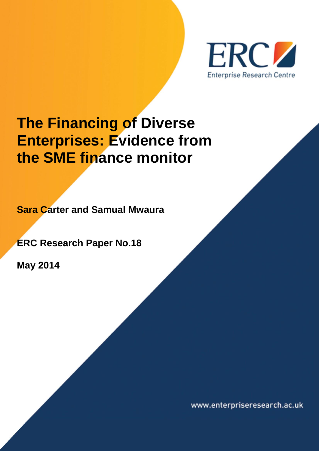

# **The Financing of Diverse Enterprises: Evidence from the SME finance monitor**

**Sara Carter and Samual Mwaura**

**ERC Research Paper No.18**

**May 2014**

www.enterpriseresearch.ac.uk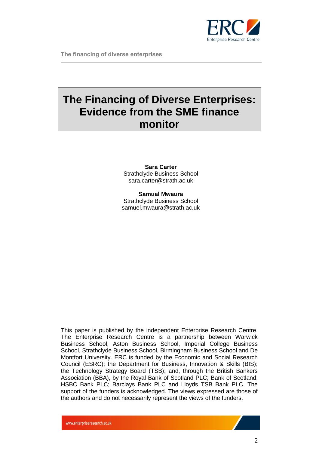

## **The Financing of Diverse Enterprises: Evidence from the SME finance monitor**

## **Sara Carter** Strathclyde Business School sara.carter@strath.ac.uk

**Samual Mwaura** Strathclyde Business School samuel.mwaura@strath.ac.uk

This paper is published by the independent Enterprise Research Centre. The Enterprise Research Centre is a partnership between Warwick Business School, Aston Business School, Imperial College Business School, Strathclyde Business School, Birmingham Business School and De Montfort University. ERC is funded by the Economic and Social Research Council (ESRC); the Department for Business, Innovation & Skills (BIS); the Technology Strategy Board (TSB); and, through the British Bankers Association (BBA), by the Royal Bank of Scotland PLC; Bank of Scotland; HSBC Bank PLC; Barclays Bank PLC and Lloyds TSB Bank PLC. The support of the funders is acknowledged. The views expressed are those of the authors and do not necessarily represent the views of the funders.

www.enterpriseresearch.ac.uk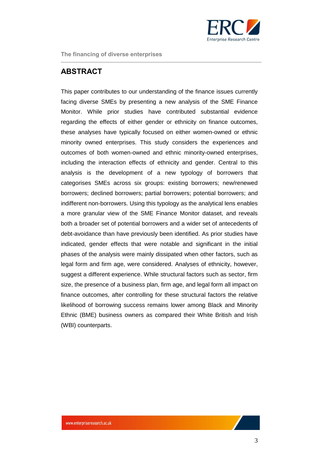

## <span id="page-2-0"></span>**ABSTRACT**

This paper contributes to our understanding of the finance issues currently facing diverse SMEs by presenting a new analysis of the SME Finance Monitor. While prior studies have contributed substantial evidence regarding the effects of either gender or ethnicity on finance outcomes, these analyses have typically focused on either women-owned or ethnic minority owned enterprises. This study considers the experiences and outcomes of both women-owned and ethnic minority-owned enterprises, including the interaction effects of ethnicity and gender. Central to this analysis is the development of a new typology of borrowers that categorises SMEs across six groups: existing borrowers; new/renewed borrowers; declined borrowers; partial borrowers; potential borrowers; and indifferent non-borrowers. Using this typology as the analytical lens enables a more granular view of the SME Finance Monitor dataset, and reveals both a broader set of potential borrowers and a wider set of antecedents of debt-avoidance than have previously been identified. As prior studies have indicated, gender effects that were notable and significant in the initial phases of the analysis were mainly dissipated when other factors, such as legal form and firm age, were considered. Analyses of ethnicity, however, suggest a different experience. While structural factors such as sector, firm size, the presence of a business plan, firm age, and legal form all impact on finance outcomes, after controlling for these structural factors the relative likelihood of borrowing success remains lower among Black and Minority Ethnic (BME) business owners as compared their White British and Irish (WBI) counterparts.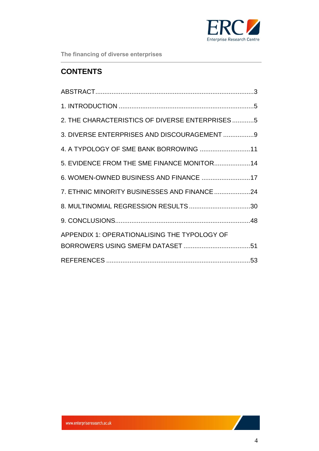

## **CONTENTS**

| 2. THE CHARACTERISTICS OF DIVERSE ENTERPRISES5 |  |
|------------------------------------------------|--|
| 3. DIVERSE ENTERPRISES AND DISCOURAGEMENT 9    |  |
|                                                |  |
| 5. EVIDENCE FROM THE SME FINANCE MONITOR14     |  |
| 6. WOMEN-OWNED BUSINESS AND FINANCE 17         |  |
| 7. ETHNIC MINORITY BUSINESSES AND FINANCE 24   |  |
|                                                |  |
|                                                |  |
| APPENDIX 1: OPERATIONALISING THE TYPOLOGY OF   |  |
|                                                |  |
|                                                |  |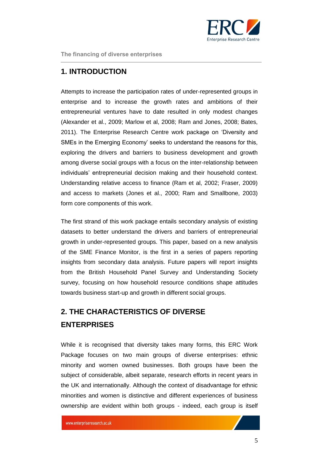

## <span id="page-4-0"></span>**1. INTRODUCTION**

Attempts to increase the participation rates of under-represented groups in enterprise and to increase the growth rates and ambitions of their entrepreneurial ventures have to date resulted in only modest changes (Alexander et al., 2009; Marlow et al, 2008; Ram and Jones, 2008; Bates, 2011). The Enterprise Research Centre work package on 'Diversity and SMEs in the Emerging Economy' seeks to understand the reasons for this, exploring the drivers and barriers to business development and growth among diverse social groups with a focus on the inter-relationship between individuals' entrepreneurial decision making and their household context. Understanding relative access to finance (Ram et al, 2002; Fraser, 2009) and access to markets (Jones et al., 2000; Ram and Smallbone, 2003) form core components of this work.

The first strand of this work package entails secondary analysis of existing datasets to better understand the drivers and barriers of entrepreneurial growth in under-represented groups. This paper, based on a new analysis of the SME Finance Monitor, is the first in a series of papers reporting insights from secondary data analysis. Future papers will report insights from the British Household Panel Survey and Understanding Society survey, focusing on how household resource conditions shape attitudes towards business start-up and growth in different social groups.

## <span id="page-4-1"></span>**2. THE CHARACTERISTICS OF DIVERSE ENTERPRISES**

While it is recognised that diversity takes many forms, this ERC Work Package focuses on two main groups of diverse enterprises: ethnic minority and women owned businesses. Both groups have been the subject of considerable, albeit separate, research efforts in recent years in the UK and internationally. Although the context of disadvantage for ethnic minorities and women is distinctive and different experiences of business ownership are evident within both groups - indeed, each group is itself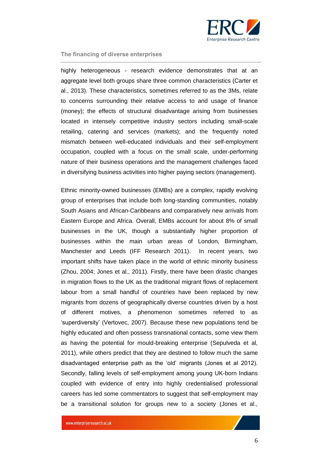

highly heterogeneous - research evidence demonstrates that at an aggregate level both groups share three common characteristics (Carter et al., 2013). These characteristics, sometimes referred to as the 3Ms, relate to concerns surrounding their relative access to and usage of finance (money); the effects of structural disadvantage arising from businesses located in intensely competitive industry sectors including small-scale retailing, catering and services (markets); and the frequently noted mismatch between well-educated individuals and their self-employment occupation, coupled with a focus on the small scale, under-performing nature of their business operations and the management challenges faced in diversifying business activities into higher paying sectors (management).

Ethnic minority-owned businesses (EMBs) are a complex, rapidly evolving group of enterprises that include both long-standing communities, notably South Asians and African-Caribbeans and comparatively new arrivals from Eastern Europe and Africa. Overall, EMBs account for about 8% of small businesses in the UK, though a substantially higher proportion of businesses within the main urban areas of London, Birmingham, Manchester and Leeds (IFF Research 2011). In recent years, two important shifts have taken place in the world of ethnic minority business (Zhou, 2004; Jones et al., 2011). Firstly, there have been drastic changes in migration flows to the UK as the traditional migrant flows of replacement labour from a small handful of countries have been replaced by new migrants from dozens of geographically diverse countries driven by a host of different motives, a phenomenon sometimes referred to as 'superdiversity' (Vertovec, 2007). Because these new populations tend be highly educated and often possess transnational contacts, some view them as having the potential for mould-breaking enterprise (Sepulveda et al, 2011), while others predict that they are destined to follow much the same disadvantaged enterprise path as the 'old' migrants (Jones et al 2012). Secondly, falling levels of self-employment among young UK-born Indians coupled with evidence of entry into highly credentialised professional careers has led some commentators to suggest that self-employment may be a transitional solution for groups new to a society (Jones et al.,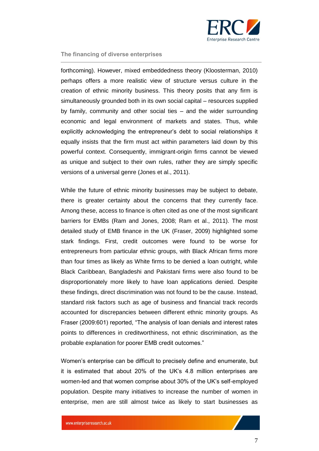

forthcoming). However, mixed embeddedness theory (Kloosterman, 2010) perhaps offers a more realistic view of structure versus culture in the creation of ethnic minority business. This theory posits that any firm is simultaneously grounded both in its own social capital – resources supplied by family, community and other social ties – and the wider surrounding economic and legal environment of markets and states. Thus, while explicitly acknowledging the entrepreneur's debt to social relationships it equally insists that the firm must act within parameters laid down by this powerful context. Consequently, immigrant-origin firms cannot be viewed as unique and subject to their own rules, rather they are simply specific versions of a universal genre (Jones et al., 2011).

While the future of ethnic minority businesses may be subject to debate, there is greater certainty about the concerns that they currently face. Among these, access to finance is often cited as one of the most significant barriers for EMBs (Ram and Jones, 2008; Ram et al., 2011). The most detailed study of EMB finance in the UK (Fraser, 2009) highlighted some stark findings. First, credit outcomes were found to be worse for entrepreneurs from particular ethnic groups, with Black African firms more than four times as likely as White firms to be denied a loan outright, while Black Caribbean, Bangladeshi and Pakistani firms were also found to be disproportionately more likely to have loan applications denied. Despite these findings, direct discrimination was not found to be the cause. Instead, standard risk factors such as age of business and financial track records accounted for discrepancies between different ethnic minority groups. As Fraser (2009:601) reported, "The analysis of loan denials and interest rates points to differences in creditworthiness, not ethnic discrimination, as the probable explanation for poorer EMB credit outcomes."

Women's enterprise can be difficult to precisely define and enumerate, but it is estimated that about 20% of the UK's 4.8 million enterprises are women-led and that women comprise about 30% of the UK's self-employed population. Despite many initiatives to increase the number of women in enterprise, men are still almost twice as likely to start businesses as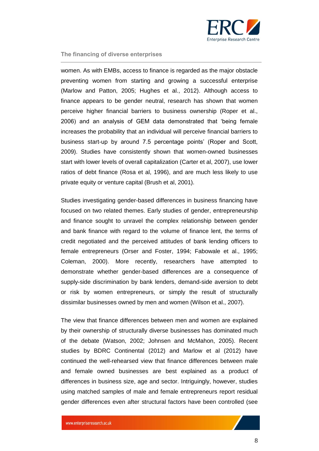

women. As with EMBs, access to finance is regarded as the major obstacle preventing women from starting and growing a successful enterprise (Marlow and Patton, 2005; Hughes et al., 2012). Although access to finance appears to be gender neutral, research has shown that women perceive higher financial barriers to business ownership (Roper et al., 2006) and an analysis of GEM data demonstrated that 'being female increases the probability that an individual will perceive financial barriers to business start-up by around 7.5 percentage points' (Roper and Scott, 2009). Studies have consistently shown that women-owned businesses start with lower levels of overall capitalization (Carter et al, 2007), use lower ratios of debt finance (Rosa et al, 1996), and are much less likely to use private equity or venture capital (Brush et al, 2001).

Studies investigating gender-based differences in business financing have focused on two related themes. Early studies of gender, entrepreneurship and finance sought to unravel the complex relationship between gender and bank finance with regard to the volume of finance lent, the terms of credit negotiated and the perceived attitudes of bank lending officers to female entrepreneurs (Orser and Foster, 1994; Fabowale et al., 1995; Coleman, 2000). More recently, researchers have attempted to demonstrate whether gender-based differences are a consequence of supply-side discrimination by bank lenders, demand-side aversion to debt or risk by women entrepreneurs, or simply the result of structurally dissimilar businesses owned by men and women (Wilson et al., 2007).

The view that finance differences between men and women are explained by their ownership of structurally diverse businesses has dominated much of the debate (Watson, 2002; Johnsen and McMahon, 2005). Recent studies by BDRC Continental (2012) and Marlow et al (2012) have continued the well-rehearsed view that finance differences between male and female owned businesses are best explained as a product of differences in business size, age and sector. Intriguingly, however, studies using matched samples of male and female entrepreneurs report residual gender differences even after structural factors have been controlled (see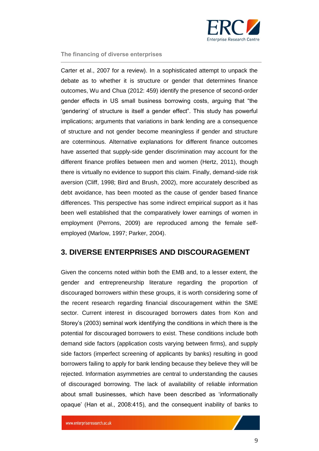

Carter et al., 2007 for a review). In a sophisticated attempt to unpack the debate as to whether it is structure or gender that determines finance outcomes, Wu and Chua (2012: 459) identify the presence of second-order gender effects in US small business borrowing costs, arguing that "the 'gendering' of structure is itself a gender effect". This study has powerful implications; arguments that variations in bank lending are a consequence of structure and not gender become meaningless if gender and structure are coterminous. Alternative explanations for different finance outcomes have asserted that supply-side gender discrimination may account for the different finance profiles between men and women (Hertz, 2011), though there is virtually no evidence to support this claim. Finally, demand-side risk aversion (Cliff, 1998; Bird and Brush, 2002), more accurately described as debt avoidance, has been mooted as the cause of gender based finance differences. This perspective has some indirect empirical support as it has been well established that the comparatively lower earnings of women in employment (Perrons, 2009) are reproduced among the female selfemployed (Marlow, 1997; Parker, 2004).

## <span id="page-8-0"></span>**3. DIVERSE ENTERPRISES AND DISCOURAGEMENT**

Given the concerns noted within both the EMB and, to a lesser extent, the gender and entrepreneurship literature regarding the proportion of discouraged borrowers within these groups, it is worth considering some of the recent research regarding financial discouragement within the SME sector. Current interest in discouraged borrowers dates from Kon and Storey's (2003) seminal work identifying the conditions in which there is the potential for discouraged borrowers to exist. These conditions include both demand side factors (application costs varying between firms), and supply side factors (imperfect screening of applicants by banks) resulting in good borrowers failing to apply for bank lending because they believe they will be rejected. Information asymmetries are central to understanding the causes of discouraged borrowing. The lack of availability of reliable information about small businesses, which have been described as 'informationally opaque' (Han et al., 2008:415), and the consequent inability of banks to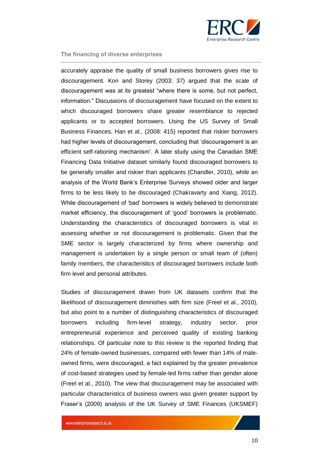

accurately appraise the quality of small business borrowers gives rise to discouragement. Kon and Storey (2003: 37) argued that the scale of discouragement was at its greatest "where there is some, but not perfect, information." Discussions of discouragement have focused on the extent to which discouraged borrowers share greater resemblance to rejected applicants or to accepted borrowers. Using the US Survey of Small Business Finances, Han et al., (2008: 415) reported that riskier borrowers had higher levels of discouragement, concluding that 'discouragement is an efficient self-rationing mechanism'. A later study using the Canadian SME Financing Data Initiative dataset similarly found discouraged borrowers to be generally smaller and riskier than applicants (Chandler, 2010), while an analysis of the World Bank's Enterprise Surveys showed older and larger firms to be less likely to be discouraged (Chakravarty and Xiang, 2012). While discouragement of 'bad' borrowers is widely believed to demonstrate market efficiency, the discouragement of 'good' borrowers is problematic. Understanding the characteristics of discouraged borrowers is vital in assessing whether or not discouragement is problematic. Given that the SME sector is largely characterized by firms where ownership and management is undertaken by a single person or small team of (often) family members, the characteristics of discouraged borrowers include both firm level and personal attributes.

Studies of discouragement drawn from UK datasets confirm that the likelihood of discouragement diminishes with firm size (Freel et al., 2010), but also point to a number of distinguishing characteristics of discouraged borrowers including firm-level strategy, industry sector, prior entrepreneurial experience and perceived quality of existing banking relationships. Of particular note to this review is the reported finding that 24% of female-owned businesses, compared with fewer than 14% of maleowned firms, were discouraged, a fact explained by the greater prevalence of cost-based strategies used by female-led firms rather than gender alone (Freel et al., 2010). The view that discouragement may be associated with particular characteristics of business owners was given greater support by Fraser's (2009) analysis of the UK Survey of SME Finances (UKSMEF)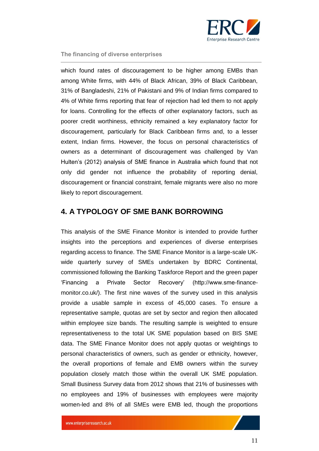

which found rates of discouragement to be higher among EMBs than among White firms, with 44% of Black African, 39% of Black Caribbean, 31% of Bangladeshi, 21% of Pakistani and 9% of Indian firms compared to 4% of White firms reporting that fear of rejection had led them to not apply for loans. Controlling for the effects of other explanatory factors, such as poorer credit worthiness, ethnicity remained a key explanatory factor for discouragement, particularly for Black Caribbean firms and, to a lesser extent, Indian firms. However, the focus on personal characteristics of owners as a determinant of discouragement was challenged by Van Hulten's (2012) analysis of SME finance in Australia which found that not only did gender not influence the probability of reporting denial, discouragement or financial constraint, female migrants were also no more likely to report discouragement.

## <span id="page-10-0"></span>**4. A TYPOLOGY OF SME BANK BORROWING**

This analysis of the SME Finance Monitor is intended to provide further insights into the perceptions and experiences of diverse enterprises regarding access to finance. The SME Finance Monitor is a large-scale UKwide quarterly survey of SMEs undertaken by BDRC Continental, commissioned following the Banking Taskforce Report and the green paper 'Financing a Private Sector Recovery' (http://www.sme-financemonitor.co.uk/). The first nine waves of the survey used in this analysis provide a usable sample in excess of 45,000 cases. To ensure a representative sample, quotas are set by sector and region then allocated within employee size bands. The resulting sample is weighted to ensure representativeness to the total UK SME population based on BIS SME data. The SME Finance Monitor does not apply quotas or weightings to personal characteristics of owners, such as gender or ethnicity, however, the overall proportions of female and EMB owners within the survey population closely match those within the overall UK SME population. Small Business Survey data from 2012 shows that 21% of businesses with no employees and 19% of businesses with employees were majority women-led and 8% of all SMEs were EMB led, though the proportions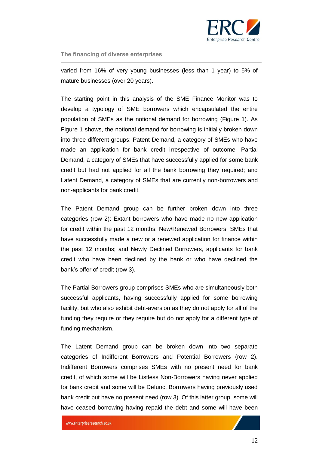

varied from 16% of very young businesses (less than 1 year) to 5% of mature businesses (over 20 years).

The starting point in this analysis of the SME Finance Monitor was to develop a typology of SME borrowers which encapsulated the entire population of SMEs as the notional demand for borrowing (Figure 1). As Figure 1 shows, the notional demand for borrowing is initially broken down into three different groups: Patent Demand, a category of SMEs who have made an application for bank credit irrespective of outcome; Partial Demand, a category of SMEs that have successfully applied for some bank credit but had not applied for all the bank borrowing they required; and Latent Demand, a category of SMEs that are currently non-borrowers and non-applicants for bank credit.

The Patent Demand group can be further broken down into three categories (row 2): Extant borrowers who have made no new application for credit within the past 12 months; New/Renewed Borrowers, SMEs that have successfully made a new or a renewed application for finance within the past 12 months; and Newly Declined Borrowers, applicants for bank credit who have been declined by the bank or who have declined the bank's offer of credit (row 3).

The Partial Borrowers group comprises SMEs who are simultaneously both successful applicants, having successfully applied for some borrowing facility, but who also exhibit debt-aversion as they do not apply for all of the funding they require or they require but do not apply for a different type of funding mechanism.

The Latent Demand group can be broken down into two separate categories of Indifferent Borrowers and Potential Borrowers (row 2). Indifferent Borrowers comprises SMEs with no present need for bank credit, of which some will be Listless Non-Borrowers having never applied for bank credit and some will be Defunct Borrowers having previously used bank credit but have no present need (row 3). Of this latter group, some will have ceased borrowing having repaid the debt and some will have been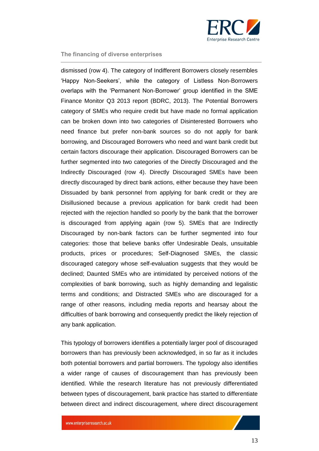

dismissed (row 4). The category of Indifferent Borrowers closely resembles 'Happy Non-Seekers', while the category of Listless Non-Borrowers overlaps with the 'Permanent Non-Borrower' group identified in the SME Finance Monitor Q3 2013 report (BDRC, 2013). The Potential Borrowers category of SMEs who require credit but have made no formal application can be broken down into two categories of Disinterested Borrowers who need finance but prefer non-bank sources so do not apply for bank borrowing, and Discouraged Borrowers who need and want bank credit but certain factors discourage their application. Discouraged Borrowers can be further segmented into two categories of the Directly Discouraged and the Indirectly Discouraged (row 4). Directly Discouraged SMEs have been directly discouraged by direct bank actions, either because they have been Dissuaded by bank personnel from applying for bank credit or they are Disillusioned because a previous application for bank credit had been rejected with the rejection handled so poorly by the bank that the borrower is discouraged from applying again (row 5). SMEs that are Indirectly Discouraged by non-bank factors can be further segmented into four categories: those that believe banks offer Undesirable Deals, unsuitable products, prices or procedures; Self-Diagnosed SMEs, the classic discouraged category whose self-evaluation suggests that they would be declined; Daunted SMEs who are intimidated by perceived notions of the complexities of bank borrowing, such as highly demanding and legalistic terms and conditions; and Distracted SMEs who are discouraged for a range of other reasons, including media reports and hearsay about the difficulties of bank borrowing and consequently predict the likely rejection of any bank application.

This typology of borrowers identifies a potentially larger pool of discouraged borrowers than has previously been acknowledged, in so far as it includes both potential borrowers and partial borrowers. The typology also identifies a wider range of causes of discouragement than has previously been identified. While the research literature has not previously differentiated between types of discouragement, bank practice has started to differentiate between direct and indirect discouragement, where direct discouragement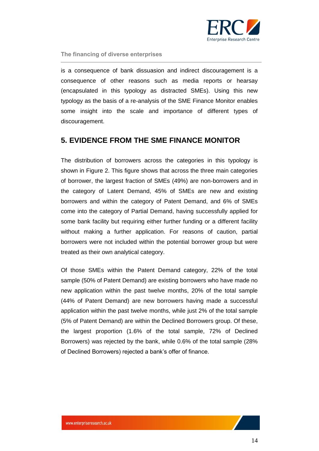

is a consequence of bank dissuasion and indirect discouragement is a consequence of other reasons such as media reports or hearsay (encapsulated in this typology as distracted SMEs). Using this new typology as the basis of a re-analysis of the SME Finance Monitor enables some insight into the scale and importance of different types of discouragement.

## <span id="page-13-0"></span>**5. EVIDENCE FROM THE SME FINANCE MONITOR**

The distribution of borrowers across the categories in this typology is shown in Figure 2. This figure shows that across the three main categories of borrower, the largest fraction of SMEs (49%) are non-borrowers and in the category of Latent Demand, 45% of SMEs are new and existing borrowers and within the category of Patent Demand, and 6% of SMEs come into the category of Partial Demand, having successfully applied for some bank facility but requiring either further funding or a different facility without making a further application. For reasons of caution, partial borrowers were not included within the potential borrower group but were treated as their own analytical category.

Of those SMEs within the Patent Demand category, 22% of the total sample (50% of Patent Demand) are existing borrowers who have made no new application within the past twelve months, 20% of the total sample (44% of Patent Demand) are new borrowers having made a successful application within the past twelve months, while just 2% of the total sample (5% of Patent Demand) are within the Declined Borrowers group. Of these, the largest proportion (1.6% of the total sample, 72% of Declined Borrowers) was rejected by the bank, while 0.6% of the total sample (28% of Declined Borrowers) rejected a bank's offer of finance.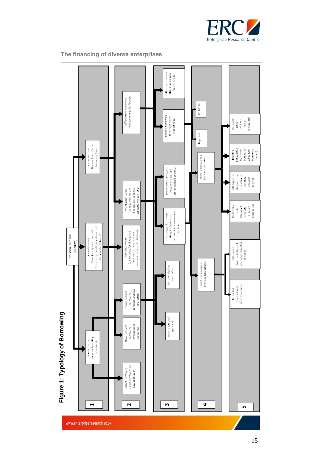

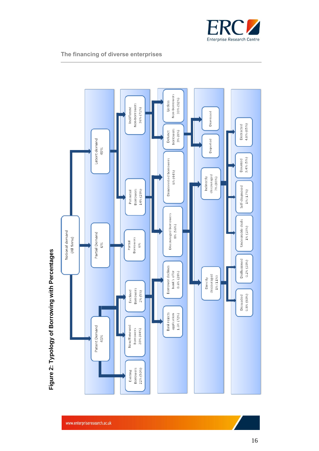

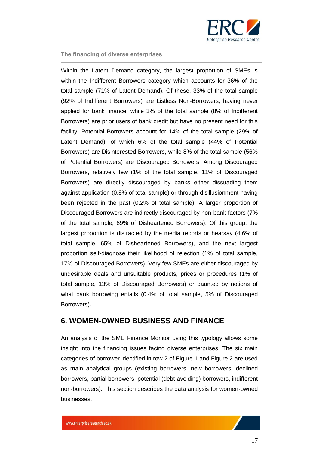

Within the Latent Demand category, the largest proportion of SMEs is within the Indifferent Borrowers category which accounts for 36% of the total sample (71% of Latent Demand). Of these, 33% of the total sample (92% of Indifferent Borrowers) are Listless Non-Borrowers, having never applied for bank finance, while 3% of the total sample (8% of Indifferent Borrowers) are prior users of bank credit but have no present need for this facility. Potential Borrowers account for 14% of the total sample (29% of Latent Demand), of which 6% of the total sample (44% of Potential Borrowers) are Disinterested Borrowers, while 8% of the total sample (56% of Potential Borrowers) are Discouraged Borrowers. Among Discouraged Borrowers, relatively few (1% of the total sample, 11% of Discouraged Borrowers) are directly discouraged by banks either dissuading them against application (0.8% of total sample) or through disillusionment having been rejected in the past (0.2% of total sample). A larger proportion of Discouraged Borrowers are indirectly discouraged by non-bank factors (7% of the total sample, 89% of Disheartened Borrowers). Of this group, the largest proportion is distracted by the media reports or hearsay (4.6% of total sample, 65% of Disheartened Borrowers), and the next largest proportion self-diagnose their likelihood of rejection (1% of total sample, 17% of Discouraged Borrowers). Very few SMEs are either discouraged by undesirable deals and unsuitable products, prices or procedures (1% of total sample, 13% of Discouraged Borrowers) or daunted by notions of what bank borrowing entails (0.4% of total sample, 5% of Discouraged Borrowers).

## <span id="page-16-0"></span>**6. WOMEN-OWNED BUSINESS AND FINANCE**

An analysis of the SME Finance Monitor using this typology allows some insight into the financing issues facing diverse enterprises. The six main categories of borrower identified in row 2 of Figure 1 and Figure 2 are used as main analytical groups (existing borrowers, new borrowers, declined borrowers, partial borrowers, potential (debt-avoiding) borrowers, indifferent non-borrowers). This section describes the data analysis for women-owned businesses.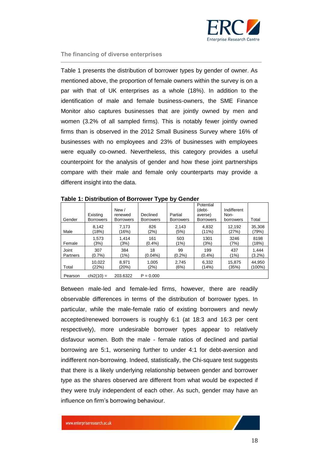

Table 1 presents the distribution of borrower types by gender of owner. As mentioned above, the proportion of female owners within the survey is on a par with that of UK enterprises as a whole (18%). In addition to the identification of male and female business-owners, the SME Finance Monitor also captures businesses that are jointly owned by men and women (3.2% of all sampled firms). This is notably fewer jointly owned firms than is observed in the 2012 Small Business Survey where 16% of businesses with no employees and 23% of businesses with employees were equally co-owned. Nevertheless, this category provides a useful counterpoint for the analysis of gender and how these joint partnerships compare with their male and female only counterparts may provide a different insight into the data.

| Gender   | Existing<br><b>Borrowers</b> | New /<br>renewed<br><b>Borrowers</b> | Declined<br><b>Borrowers</b> | Partial<br><b>Borrowers</b> | Potential<br>(debt-<br>averse)<br><b>Borrowers</b> | Indifferent<br>Non-<br>borrowers | Total     |
|----------|------------------------------|--------------------------------------|------------------------------|-----------------------------|----------------------------------------------------|----------------------------------|-----------|
| Male     | 8.142                        | 7,173                                | 826                          | 2,143                       | 4,832                                              | 12,192                           | 35,308    |
|          | (18%)                        | (16%)                                | (2%)                         | (5%)                        | $(11\%)$                                           | (27%)                            | (79%)     |
| Female   | 1,573                        | 1,414                                | 161                          | 503                         | 1301                                               | 3246                             | 8198      |
|          | (3%)                         | (3%)                                 | (0.4%                        | (1%)                        | (3%)                                               | (7%)                             | (18%)     |
| Joint    | 307                          | 384                                  | 18                           | 99                          | 199                                                | 437                              | 1.444     |
| Partners | $(0.7\%)$                    | (1%)                                 | $(0.04\%)$                   | $(0.2\%)$                   | $(0.4\%)$                                          | (1%)                             | $(3.2\%)$ |
| Total    | 10,022                       | 8,971                                | 1,005                        | 2,745                       | 6,332                                              | 15,875                           | 44,950    |
|          | (22%)                        | (20%)                                | (2%)                         | (6%)                        | (14%)                                              | (35%)                            | (100%)    |
| Pearson  | $chi2(10) =$                 | 203.6322                             | $P = 0.000$                  |                             |                                                    |                                  |           |

**Table 1: Distribution of Borrower Type by Gender**

Between male-led and female-led firms, however, there are readily observable differences in terms of the distribution of borrower types. In particular, while the male-female ratio of existing borrowers and newly accepted/renewed borrowers is roughly 6:1 (at 18:3 and 16:3 per cent respectively), more undesirable borrower types appear to relatively disfavour women. Both the male - female ratios of declined and partial borrowing are 5:1, worsening further to under 4:1 for debt-aversion and indifferent non-borrowing. Indeed, statistically, the Chi-square test suggests that there is a likely underlying relationship between gender and borrower type as the shares observed are different from what would be expected if they were truly independent of each other. As such, gender may have an influence on firm's borrowing behaviour.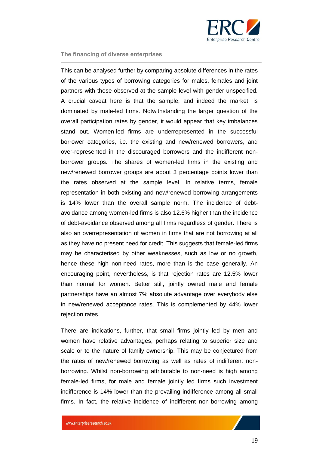

This can be analysed further by comparing absolute differences in the rates of the various types of borrowing categories for males, females and joint partners with those observed at the sample level with gender unspecified. A crucial caveat here is that the sample, and indeed the market, is dominated by male-led firms. Notwithstanding the larger question of the overall participation rates by gender, it would appear that key imbalances stand out. Women-led firms are underrepresented in the successful borrower categories, i.e. the existing and new/renewed borrowers, and over-represented in the discouraged borrowers and the indifferent nonborrower groups. The shares of women-led firms in the existing and new/renewed borrower groups are about 3 percentage points lower than the rates observed at the sample level. In relative terms, female representation in both existing and new/renewed borrowing arrangements is 14% lower than the overall sample norm. The incidence of debtavoidance among women-led firms is also 12.6% higher than the incidence of debt-avoidance observed among all firms regardless of gender. There is also an overrepresentation of women in firms that are not borrowing at all as they have no present need for credit. This suggests that female-led firms may be characterised by other weaknesses, such as low or no growth, hence these high non-need rates, more than is the case generally. An encouraging point, nevertheless, is that rejection rates are 12.5% lower than normal for women. Better still, jointly owned male and female partnerships have an almost 7% absolute advantage over everybody else in new/renewed acceptance rates. This is complemented by 44% lower rejection rates.

There are indications, further, that small firms jointly led by men and women have relative advantages, perhaps relating to superior size and scale or to the nature of family ownership. This may be conjectured from the rates of new/renewed borrowing as well as rates of indifferent nonborrowing. Whilst non-borrowing attributable to non-need is high among female-led firms, for male and female jointly led firms such investment indifference is 14% lower than the prevailing indifference among all small firms. In fact, the relative incidence of indifferent non-borrowing among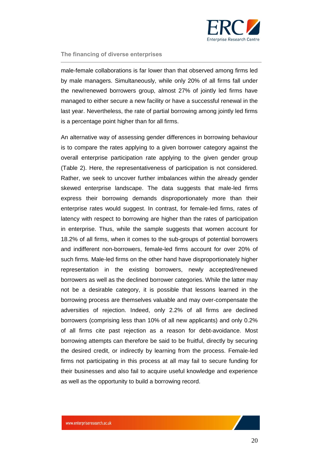

male-female collaborations is far lower than that observed among firms led by male managers. Simultaneously, while only 20% of all firms fall under the new/renewed borrowers group, almost 27% of jointly led firms have managed to either secure a new facility or have a successful renewal in the last year. Nevertheless, the rate of partial borrowing among jointly led firms is a percentage point higher than for all firms.

An alternative way of assessing gender differences in borrowing behaviour is to compare the rates applying to a given borrower category against the overall enterprise participation rate applying to the given gender group (Table 2). Here, the representativeness of participation is not considered. Rather, we seek to uncover further imbalances within the already gender skewed enterprise landscape. The data suggests that male-led firms express their borrowing demands disproportionately more than their enterprise rates would suggest. In contrast, for female-led firms, rates of latency with respect to borrowing are higher than the rates of participation in enterprise. Thus, while the sample suggests that women account for 18.2% of all firms, when it comes to the sub-groups of potential borrowers and indifferent non-borrowers, female-led firms account for over 20% of such firms. Male-led firms on the other hand have disproportionately higher representation in the existing borrowers, newly accepted/renewed borrowers as well as the declined borrower categories. While the latter may not be a desirable category, it is possible that lessons learned in the borrowing process are themselves valuable and may over-compensate the adversities of rejection. Indeed, only 2.2% of all firms are declined borrowers (comprising less than 10% of all new applicants) and only 0.2% of all firms cite past rejection as a reason for debt-avoidance. Most borrowing attempts can therefore be said to be fruitful, directly by securing the desired credit, or indirectly by learning from the process. Female-led firms not participating in this process at all may fail to secure funding for their businesses and also fail to acquire useful knowledge and experience as well as the opportunity to build a borrowing record.

20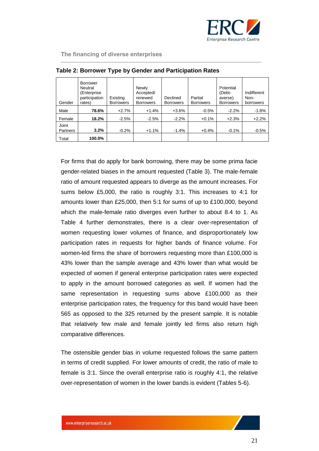

| Gender            | <b>Borrower</b><br>Neutral<br>(Enterprise)<br>participation<br>rates) | Existing<br><b>Borrowers</b> | Newly<br>Accepted/<br>renewed<br><b>Borrowers</b> | Declined<br><b>Borrowers</b> | Partial<br><b>Borrowers</b> | Potential<br>(Debt-<br>averse)<br><b>Borrowers</b> | Indifferent<br>Non-<br>borrowers |
|-------------------|-----------------------------------------------------------------------|------------------------------|---------------------------------------------------|------------------------------|-----------------------------|----------------------------------------------------|----------------------------------|
| Male              | 78.6%                                                                 | $+2.7%$                      | $+1.4%$                                           | +3.6%                        | $-0.5\%$                    | $-2.2%$                                            | $-1.8%$                          |
| Female            | 18.2%                                                                 | $-2.5%$                      | $-2.5%$                                           | $-2.2%$                      | $+0.1%$                     | $+2.3%$                                            | $+2.2%$                          |
| Joint<br>Partners | 3.2%                                                                  | $-0.2%$                      | $+1.1%$                                           | $-1.4%$                      | $+0.4%$                     | $-0.1\%$                                           | $-0.5%$                          |
| Total             | 100.0%                                                                |                              |                                                   |                              |                             |                                                    |                                  |

| Table 2: Borrower Type by Gender and Participation Rates |  |  |  |  |  |  |
|----------------------------------------------------------|--|--|--|--|--|--|
|----------------------------------------------------------|--|--|--|--|--|--|

For firms that do apply for bank borrowing, there may be some prima facie gender-related biases in the amount requested (Table 3). The male-female ratio of amount requested appears to diverge as the amount increases. For sums below £5,000, the ratio is roughly 3:1. This increases to 4:1 for amounts lower than £25,000, then 5:1 for sums of up to £100,000, beyond which the male-female ratio diverges even further to about 8.4 to 1. As Table 4 further demonstrates, there is a clear over-representation of women requesting lower volumes of finance, and disproportionately low participation rates in requests for higher bands of finance volume. For women-led firms the share of borrowers requesting more than £100,000 is 43% lower than the sample average and 43% lower than what would be expected of women if general enterprise participation rates were expected to apply in the amount borrowed categories as well. If women had the same representation in requesting sums above £100,000 as their enterprise participation rates, the frequency for this band would have been 565 as opposed to the 325 returned by the present sample. It is notable that relatively few male and female jointly led firms also return high comparative differences.

The ostensible gender bias in volume requested follows the same pattern in terms of credit supplied. For lower amounts of credit, the ratio of male to female is 3:1. Since the overall enterprise ratio is roughly 4:1, the relative over-representation of women in the lower bands is evident (Tables 5-6).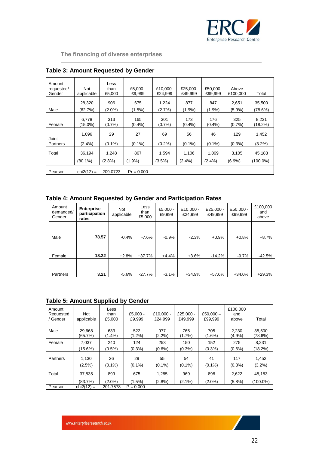

| Amount<br>requested/<br>Gender | Not<br>applicable   | Less<br>than<br>£5,000 | $£5.000 -$<br>£9.999 | £10.000-<br>£24.999 | £25.000-<br>£49.999 | £50.000-<br>£99.999 | Above<br>£100,000  | Total               |
|--------------------------------|---------------------|------------------------|----------------------|---------------------|---------------------|---------------------|--------------------|---------------------|
| Male                           | 28.320<br>(62.7%)   | 906<br>$(2.0\%)$       | 675<br>(1.5%)        | 1,224<br>$(2.7\%)$  | 877<br>$(1.9\%)$    | 847<br>$(1.9\%)$    | 2,651<br>$(5.9\%)$ | 35.500<br>(78.6%)   |
| Female                         | 6.778<br>(15.0%)    | 313<br>$(0.7\%)$       | 165<br>(0.4%)        | 301<br>$(0.7\%)$    | 173<br>$(0.4\%)$    | 176<br>$(0.4\%)$    | 325<br>$(0.7\%)$   | 8.231<br>(18.2%)    |
| Joint                          | 1,096               | 29                     | 27                   | 69                  | 56                  | 46                  | 129                | 1,452               |
| Partners<br>Total              | $(2.4\%)$<br>36,194 | $(0.1\%)$<br>1,248     | $(0.1\%)$<br>867     | $(0.2\%)$<br>1,594  | $(0.1\%)$<br>1,106  | $(0.1\%)$<br>1,069  | $(0.3\%)$<br>3,105 | $(3.2\%)$<br>45,183 |
|                                | $(80.1\%)$          | $(2.8\%)$              | $(1.9\%)$            | $(3.5\%)$           | $(2.4\%)$           | $(2.4\%)$           | $(6.9\%)$          | (100.0%)            |
| Pearson                        | $chi2(12) =$        | 209.0723               | $Pr = 0.000$         |                     |                     |                     |                    |                     |

## **Table 3: Amount Requested by Gender**

## **Table 4: Amount Requested by Gender and Participation Rates**

| Amount<br>demanded/<br>Gender | <b>Enterprise</b><br>participation<br>rates | Not<br>applicable | Less<br>than<br>£5,000 | $£5,000 -$<br>£9,999 | £10,000 -<br>£24.999 | £25.000 -<br>£49.999 | $£50.000 -$<br>£99,999 | £100,000<br>and<br>above |
|-------------------------------|---------------------------------------------|-------------------|------------------------|----------------------|----------------------|----------------------|------------------------|--------------------------|
| Male                          | 78.57                                       | $-0.4%$           | $-7.6%$                | $-0.9%$              | $-2.3%$              | $+0.9%$              | $+0.8%$                | $+8.7%$                  |
| Female                        | 18.22                                       | $+2.8%$           | $+37.7%$               | $+4.4%$              | $+3.6%$              | $-14.2%$             | $-9.7%$                | $-42.5%$                 |
| Partners                      | 3.21                                        | $-5.6%$           | $-27.7%$               | $-3.1%$              | $+34.9%$             | $+57.6%$             | $+34.0%$               | $+29.3%$                 |

## **Table 5: Amount Supplied by Gender**

| Amount<br>Requested<br>Gender | <b>Not</b><br>applicable | Less<br>than<br>£5.000 | $£5.000 -$<br>£9.999 | £10.000 -<br>£24.999 | £25.000 $-$<br>£49.999 | £50,000 $-$<br>£99.999 | £100.000<br>and<br>above | Total              |
|-------------------------------|--------------------------|------------------------|----------------------|----------------------|------------------------|------------------------|--------------------------|--------------------|
|                               |                          |                        |                      |                      |                        |                        |                          |                    |
| Male                          | 29.668<br>(65.7%)        | 633<br>$(1.4\%)$       | 522<br>$(1.2\%)$     | 977<br>$(2.2\%)$     | 765<br>$(1.7\%)$       | 705<br>$(1.6\%)$       | 2.230<br>(4.9%)          | 35,500<br>(78.6%)  |
| Female                        | 7.037                    | 240                    | 124                  | 253                  | 150                    | 152                    | 275                      | 8.231              |
|                               | (15.6%)                  | $(0.5\%)$              | $(0.3\%)$            | $(0.6\%)$            | $(0.3\%)$              | $(0.3\%)$              | $(0.6\%)$                | $(18.2\%)$         |
| Partners                      | 1.130<br>$(2.5\%)$       | 26<br>$(0.1\%)$        | 29<br>$(0.1\%)$      | 55<br>$(0.1\%)$      | 54<br>$(0.1\%)$        | 41<br>$(0.1\%)$        | 117<br>$(0.3\%)$         | 1.452<br>$(3.2\%)$ |
| Total                         | 37,835                   | 899                    | 675                  | 1.285                | 969                    | 898                    | 2,622                    | 45,183             |
|                               | (83.7%)                  | $(2.0\%)$              | $(1.5\%)$            | $(2.8\%)$            | $(2.1\%)$              | $(2.0\%)$              | $(5.8\%)$                | (100.0%)           |
| Pearson                       | $chi2(12) =$             | 201.7578               | $P = 0.000$          |                      |                        |                        |                          |                    |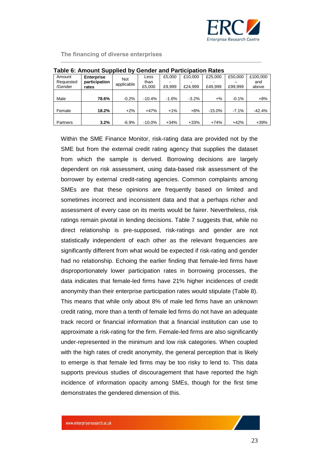

| Table 6: Amount Supplied by Gender and Participation Rates |                   |            |          |         |         |           |         |          |  |  |
|------------------------------------------------------------|-------------------|------------|----------|---------|---------|-----------|---------|----------|--|--|
| Amount                                                     | <b>Enterprise</b> | <b>Not</b> | Less     | £5.000  | £10.000 | £25,000   | £50,000 | £100,000 |  |  |
| Requested                                                  | participation     | applicable | than     |         |         |           |         | and      |  |  |
| /Gender                                                    | rates             |            | £5,000   | £9.999  | £24.999 | £49.999   | £99.999 | above    |  |  |
|                                                            |                   |            |          |         |         |           |         |          |  |  |
| Male                                                       | 78.6%             | $-0.2%$    | $-10.4%$ | $-1.6%$ | $-3.2%$ | $+$ %     | $-0.1%$ | $+8%$    |  |  |
|                                                            |                   |            |          |         |         |           |         |          |  |  |
| Female                                                     | 18.2%             | $+2%$      | $+47%$   | $+1\%$  | $+8%$   | $-15.0\%$ | $-7.1%$ | $-42.4%$ |  |  |
|                                                            |                   |            |          |         |         |           |         |          |  |  |
| Partners                                                   | 3.2%              | $-6.9%$    | $-10.0%$ | $+34%$  | $+33%$  | $+74%$    | $+42%$  | $+39%$   |  |  |

Within the SME Finance Monitor, risk-rating data are provided not by the SME but from the external credit rating agency that supplies the dataset from which the sample is derived. Borrowing decisions are largely dependent on risk assessment, using data-based risk assessment of the borrower by external credit-rating agencies. Common complaints among SMEs are that these opinions are frequently based on limited and sometimes incorrect and inconsistent data and that a perhaps richer and assessment of every case on its merits would be fairer. Nevertheless, risk ratings remain pivotal in lending decisions. Table 7 suggests that, while no direct relationship is pre-supposed, risk-ratings and gender are not statistically independent of each other as the relevant frequencies are significantly different from what would be expected if risk-rating and gender had no relationship. Echoing the earlier finding that female-led firms have disproportionately lower participation rates in borrowing processes, the data indicates that female-led firms have 21% higher incidences of credit anonymity than their enterprise participation rates would stipulate (Table 8). This means that while only about 8% of male led firms have an unknown credit rating, more than a tenth of female led firms do not have an adequate track record or financial information that a financial institution can use to approximate a risk-rating for the firm. Female-led firms are also significantly under-represented in the minimum and low risk categories. When coupled with the high rates of credit anonymity, the general perception that is likely to emerge is that female led firms may be too risky to lend to. This data supports previous studies of discouragement that have reported the high incidence of information opacity among SMEs, though for the first time demonstrates the gendered dimension of this.

23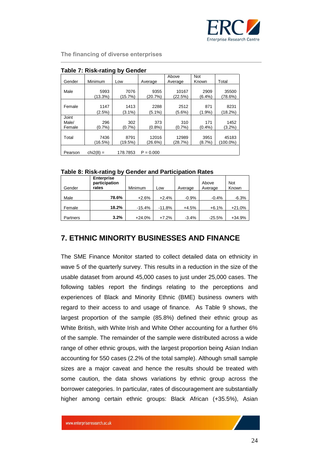

|                          | Table 7. KISK-Tatilly by Genuer |                   |                  |                  |                     |                   |  |  |  |  |  |
|--------------------------|---------------------------------|-------------------|------------------|------------------|---------------------|-------------------|--|--|--|--|--|
| Gender                   | Minimum                         | Low               | Average          | Above<br>Average | <b>Not</b><br>Known | Total             |  |  |  |  |  |
| Male                     | 5993<br>(13.3%)                 | 7076<br>(15.7%)   | 9355<br>(20.7%)  | 10167<br>(22.5%) | 2909<br>$(6.4\%)$   | 35500<br>(78.6%)  |  |  |  |  |  |
| Female                   | 1147<br>$(2.5\%)$               | 1413<br>$(3.1\%)$ | 2288<br>(5.1%)   | 2512<br>(5.6%)   | 871<br>$(1.9\%)$    | 8231<br>(18.2%)   |  |  |  |  |  |
| Joint<br>Male/<br>Female | 296<br>$(0.7\%)$                | 302<br>(0.7%      | 373<br>(0.8%     | 310<br>(0.7%     | 171<br>(0.4%        | 1452<br>$(3.2\%)$ |  |  |  |  |  |
| Total                    | 7436<br>(16.5%)                 | 8791<br>(19.5%)   | 12016<br>(26.6%) | 12989<br>(28.7%) | 3951<br>(8.7%)      | 45183<br>(100.0%) |  |  |  |  |  |
| Pearson                  | $chi2(8) =$                     | 178.7853          | $P = 0.000$      |                  |                     |                   |  |  |  |  |  |

## **Table 7: Risk-rating by Gender**

### **Table 8: Risk-rating by Gender and Participation Rates**

| Gender   | <b>Enterprise</b><br>participation<br>rates | Minimum  | ∟ow      | Average | Above<br>Average | <b>Not</b><br>Known |
|----------|---------------------------------------------|----------|----------|---------|------------------|---------------------|
| Male     | 78.6%                                       | $+2.6%$  | $+2.4%$  | $-0.9%$ | $-0.4%$          | $-6.3%$             |
| Female   | 18.2%                                       | $-15.4%$ | $-11.8%$ | $+4.5%$ | $+6.1%$          | $+21.0%$            |
| Partners | 3.2%                                        | $+24.0%$ | $+7.2%$  | $-3.4%$ | $-25.5%$         | $+34.9%$            |

## <span id="page-23-0"></span>**7. ETHNIC MINORITY BUSINESSES AND FINANCE**

The SME Finance Monitor started to collect detailed data on ethnicity in wave 5 of the quarterly survey. This results in a reduction in the size of the usable dataset from around 45,000 cases to just under 25,000 cases. The following tables report the findings relating to the perceptions and experiences of Black and Minority Ethnic (BME) business owners with regard to their access to and usage of finance. As Table 9 shows, the largest proportion of the sample (85.8%) defined their ethnic group as White British, with White Irish and White Other accounting for a further 6% of the sample. The remainder of the sample were distributed across a wide range of other ethnic groups, with the largest proportion being Asian Indian accounting for 550 cases (2.2% of the total sample). Although small sample sizes are a major caveat and hence the results should be treated with some caution, the data shows variations by ethnic group across the borrower categories. In particular, rates of discouragement are substantially higher among certain ethnic groups: Black African (+35.5%), Asian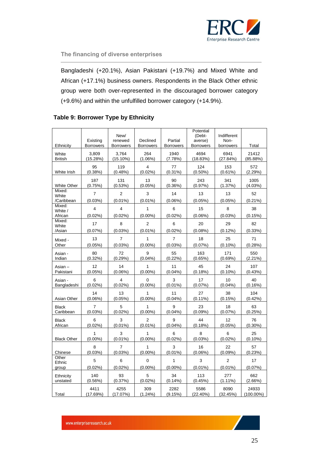

Bangladeshi (+20.1%), Asian Pakistani (+19.7%) and Mixed White and African (+17.1%) business owners. Respondents in the Black Other ethnic group were both over-represented in the discouraged borrower category (+9.6%) and within the unfulfilled borrower category (+14.9%).

|                      | Existing                | New/<br>renewed         | Declined         | Partial          | Potential<br>(Debt-<br>averse) | Indifferent<br>Non- |              |
|----------------------|-------------------------|-------------------------|------------------|------------------|--------------------------------|---------------------|--------------|
| Ethnicity            | <b>Borrowers</b>        | <b>Borrowers</b>        | <b>Borrowers</b> | <b>Borrowers</b> | <b>Borrowers</b>               | borrowers           | Total        |
| White                | 3,809                   | 3,764                   | 264              | 1940             | 4694                           | 6941                | 21412        |
| <b>British</b>       | (15.28%)                | $(15.10\%)$             | $(1.06\%)$       | (7.78%)          | (18.83%)                       | (27.84%)            | (85.88%)     |
| White Irish          | 95                      | 119                     | 4                | 77               | 124                            | 153                 | 572          |
|                      | $(0.38\%)$              | (0.48%)                 | $(0.02\%)$       | (0.31%)          | $(0.50\%)$                     | $(0.61\%)$          | (2.29%)      |
| <b>White Other</b>   | 187                     | 131                     | 13               | 90               | 243                            | 341                 | 1005         |
|                      | (0.75%)                 | (0.53%)                 | $(0.05\%)$       | (0.36%)          | (0.97%)                        | (1.37%)             | (4.03%)      |
| Mixed:<br>White      | $\overline{7}$          | $\overline{2}$          | 3                | 14               | 13                             | 13                  | 52           |
| /Caribbean<br>Mixed: | (0.03%)                 | $(0.01\%)$              | $(0.01\%)$       | (0.06%)          | $(0.05\%)$                     | $(0.05\%)$          | $(0.21\%)$   |
| White /              | $\overline{\mathbf{4}}$ | $\overline{\mathbf{4}}$ | 1                | 6                | 15                             | 8                   | 38           |
| African              | $(0.02\%)$              | $(0.02\%)$              | $(0.00\%)$       | $(0.02\%)$       | (0.06%)                        | (0.03%)             | (0.15%)      |
| Mixed:<br>White      | 17                      | 8                       | $\overline{2}$   | 6                | 20                             | 29                  | 82           |
| /Asian               | (0.07%)                 | (0.03%)                 | $(0.01\%)$       | $(0.02\%)$       | $(0.08\%)$                     | $(0.12\%)$          | $(0.33\%)$   |
| Mixed -              | 13                      | 7                       | 1                | $\overline{7}$   | 18                             | 25                  | 71           |
| Other                | $(0.05\%)$              | (0.03%)                 | $(0.00\%)$       | (0.03%)          | $(0.07\%)$                     | $(0.10\%)$          | (0.28%)      |
| Asian -              | 80                      | 72                      | 9                | 55               | 163                            | 171                 | 550          |
| Indian               | $(0.32\%)$              | (0.29%)                 | $(0.04\%)$       | $(0.22\%)$       | (0.65%)                        | (0.69%)             | (2.21%)      |
| Asian-               | 12                      | 14                      | 1                | 11               | 45                             | 24                  | 107          |
| Pakistani            | $(0.05\%)$              | (0.06%)                 | $(0.00\%)$       | $(0.04\%)$       | (0.18%)                        | $(0.10\%)$          | (0.43%)      |
| Asian -              | 6                       | 4                       | 0                | 3                | 17                             | 10                  | 40           |
| Bangladeshi          | $(0.02\%)$              | $(0.02\%)$              | $(0.00\%)$       | $(0.01\%)$       | (0.07%)                        | $(0.04\%)$          | (0.16%)      |
| Asian Other          | 14                      | 13                      | 1                | 11               | 27                             | 38                  | 104          |
|                      | $(0.06\%)$              | $(0.05\%)$              | $(0.00\%)$       | $(0.04\%)$       | $(0.11\%)$                     | (0.15%)             | $(0.42\%)$   |
| <b>Black</b>         | $\overline{7}$          | 5                       | 1                | 9                | 23                             | 18                  | 63           |
| Caribbean            | $(0.03\%)$              | $(0.02\%)$              | $(0.00\%)$       | $(0.04\%)$       | $(0.09\%)$                     | $(0.07\%)$          | (0.25%)      |
| <b>Black</b>         | 6                       | 3                       | $\overline{2}$   | 9                | 44                             | 12                  | 76           |
| African              | $(0.02\%)$              | $(0.01\%)$              | $(0.01\%)$       | (0.04%           | (0.18%)                        | $(0.05\%)$          | $(0.30\%)$   |
| <b>Black Other</b>   | 1                       | 3                       | 1                | 6                | 8                              | 6                   | 25           |
|                      | $(0.00\%)$              | $(0.01\%)$              | $(0.00\%)$       | $(0.02\%)$       | (0.03%)                        | $(0.02\%)$          | $(0.10\%)$   |
| Chinese              | 8                       | $\overline{7}$          | 1                | 3                | 16                             | 22                  | 57           |
|                      | (0.03%)                 | $(0.03\%)$              | $(0.00\%)$       | $(0.01\%)$       | $(0.06\%)$                     | $(0.09\%)$          | (0.23%)      |
| Other<br>Ethnic      | 5                       | 6                       | $\Omega$         | $\mathbf{1}$     | 3                              | $\overline{2}$      | 17           |
| group                | $(0.02\%)$              | $(0.02\%)$              | $(0.00\%)$       | $(0.00\%)$       | $(0.01\%)$                     | $(0.01\%)$          | (0.07%)      |
| Ethnicity            | 140                     | 93                      | 5                | 34               | 113                            | 277                 | 662          |
| unstated             | $(0.56\%)$              | (0.37%)                 | $(0.02\%)$       | $(0.14\%)$       | (0.45%)                        | $(1.11\%)$          | $(2.66\%)$   |
| Total                | 4411                    | 4255                    | 309              | 2282             | 5586                           | 8090                | 24933        |
|                      | (17.69%)                | (17.07%)                | $(1.24\%)$       | (9.15%)          | (22.40%)                       | (32.45%)            | $(100.00\%)$ |

## **Table 9: Borrower Type by Ethnicity**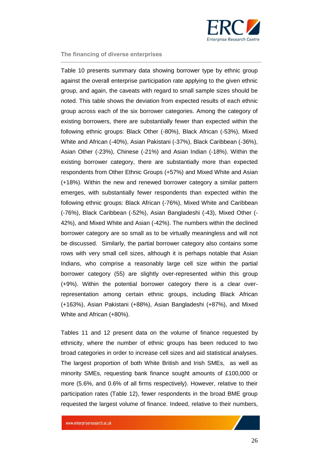

Table 10 presents summary data showing borrower type by ethnic group against the overall enterprise participation rate applying to the given ethnic group, and again, the caveats with regard to small sample sizes should be noted. This table shows the deviation from expected results of each ethnic group across each of the six borrower categories. Among the category of existing borrowers, there are substantially fewer than expected within the following ethnic groups: Black Other (-80%), Black African (-53%), Mixed White and African (-40%), Asian Pakistani (-37%), Black Caribbean (-36%), Asian Other (-23%), Chinese (-21%) and Asian Indian (-18%). Within the existing borrower category, there are substantially more than expected respondents from Other Ethnic Groups (+57%) and Mixed White and Asian (+18%). Within the new and renewed borrower category a similar pattern emerges, with substantially fewer respondents than expected within the following ethnic groups: Black African (-76%), Mixed White and Caribbean (-76%), Black Caribbean (-52%), Asian Bangladeshi (-43), Mixed Other (- 42%), and Mixed White and Asian (-42%). The numbers within the declined borrower category are so small as to be virtually meaningless and will not be discussed. Similarly, the partial borrower category also contains some rows with very small cell sizes, although it is perhaps notable that Asian Indians, who comprise a reasonably large cell size within the partial borrower category (55) are slightly over-represented within this group (+9%). Within the potential borrower category there is a clear overrepresentation among certain ethnic groups, including Black African (+163%), Asian Pakistani (+88%), Asian Bangladeshi (+87%), and Mixed White and African (+80%).

Tables 11 and 12 present data on the volume of finance requested by ethnicity, where the number of ethnic groups has been reduced to two broad categories in order to increase cell sizes and aid statistical analyses. The largest proportion of both White British and Irish SMEs, as well as minority SMEs, requesting bank finance sought amounts of £100,000 or more (5.6%, and 0.6% of all firms respectively). However, relative to their participation rates (Table 12), fewer respondents in the broad BME group requested the largest volume of finance. Indeed, relative to their numbers,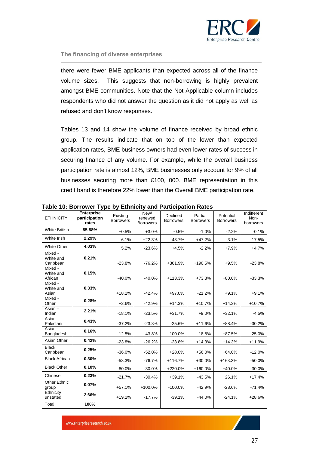

there were fewer BME applicants than expected across all of the finance volume sizes. This suggests that non-borrowing is highly prevalent amongst BME communities. Note that the Not Applicable column includes respondents who did not answer the question as it did not apply as well as refused and don't know responses.

Tables 13 and 14 show the volume of finance received by broad ethnic group. The results indicate that on top of the lower than expected application rates, BME business owners had even lower rates of success in securing finance of any volume. For example, while the overall business participation rate is almost 12%, BME businesses only account for 9% of all businesses securing more than £100, 000. BME representation in this credit band is therefore 22% lower than the Overall BME participation rate.

| <b>ETHNICITY</b>                  | <b>Enterprise</b><br>participation<br>rates | Existing<br><b>Borrowers</b> | New/<br>renewed<br><b>Borrowers</b> | Declined<br><b>Borrowers</b> | Partial<br><b>Borrowers</b> | Potential<br><b>Borrowers</b> | Indifferent<br>Non-<br>borrowers |
|-----------------------------------|---------------------------------------------|------------------------------|-------------------------------------|------------------------------|-----------------------------|-------------------------------|----------------------------------|
| <b>White British</b>              | 85.88%                                      | $+0.5%$                      | $+3.0%$                             | $-0.5%$                      | $-1.0%$                     | $-2.2%$                       | $-0.1%$                          |
| White Irish                       | 2.29%                                       | $-6.1%$                      | $+22.3%$                            | $-43.7%$                     | $+47.2%$                    | $-3.1%$                       | $-17.5%$                         |
| <b>White Other</b>                | 4.03%                                       | $+5.2%$                      | $-23.6%$                            | $+4.5%$                      | $-2.2%$                     | $+7.9%$                       | $+4.7%$                          |
| Mixed -<br>White and<br>Caribbean | 0.21%                                       | $-23.8%$                     | $-76.2%$                            | +361.9%                      | +190.5%                     | $+9.5%$                       | $-23.8%$                         |
| Mixed -<br>White and<br>African   | 0.15%                                       | $-40.0%$                     | $-40.0%$                            | $+113.3%$                    | $+73.3%$                    | +80.0%                        | $-33.3%$                         |
| Mixed -<br>White and<br>Asian     | 0.33%                                       | $+18.2%$                     | $-42.4%$                            | $+97.0%$                     | $-21.2%$                    | $+9.1%$                       | $+9.1%$                          |
| Mixed -<br>Other                  | 0.28%                                       | $+3.6%$                      | $-42.9%$                            | $+14.3%$                     | $+10.7%$                    | $+14.3%$                      | $+10.7%$                         |
| Asian $-$<br>Indian               | 2.21%                                       | $-18.1%$                     | $-23.5%$                            | $+31.7%$                     | $+9.0%$                     | $+32.1%$                      | $-4.5%$                          |
| Asian -<br>Pakistani              | 0.43%                                       | $-37.2%$                     | $-23.3%$                            | $-25.6%$                     | $+11.6%$                    | $+88.4%$                      | $-30.2%$                         |
| Asian -<br>Bangladeshi            | 0.16%                                       | $-12.5%$                     | $-43.8%$                            | $-100.0%$                    | $-18.8%$                    | $+87.5%$                      | $-25.0%$                         |
| Asian Other                       | 0.42%                                       | $-23.8%$                     | $-26.2%$                            | $-23.8%$                     | $+14.3%$                    | $+14.3%$                      | $+11.9%$                         |
| <b>Black</b><br>Caribbean         | 0.25%                                       | $-36.0%$                     | $-52.0%$                            | $+28.0%$                     | +56.0%                      | $+64.0%$                      | $-12.0%$                         |
| <b>Black African</b>              | 0.30%                                       | $-53.3%$                     | $-76.7%$                            | $+116.7%$                    | $+30.0%$                    | $+163.3%$                     | $-50.0%$                         |
| <b>Black Other</b>                | 0.10%                                       | $-80.0%$                     | $-30.0%$                            | $+220.0%$                    | $+160.0%$                   | +40.0%                        | $-30.0%$                         |
| Chinese                           | 0.23%                                       | $-21.7%$                     | $-30.4%$                            | $+39.1%$                     | $-43.5%$                    | $+26.1%$                      | $+17.4%$                         |
| <b>Other Ethnic</b><br>group      | 0.07%                                       | $+57.1%$                     | +100.0%                             | $-100.0%$                    | $-42.9%$                    | $-28.6%$                      | $-71.4%$                         |
| Ethnicity<br>unstated             | 2.66%                                       | $+19.2%$                     | $-17.7%$                            | $-39.1%$                     | $-44.0%$                    | $-24.1%$                      | $+28.6%$                         |
| Total                             | 100%                                        |                              |                                     |                              |                             |                               |                                  |

**Table 10: Borrower Type by Ethnicity and Participation Rates**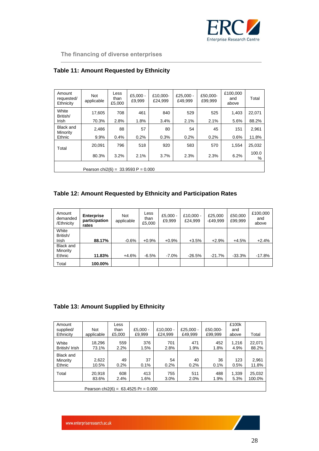

| Amount<br>requested/<br>Ethnicity      | Not<br>applicable | Less<br>than<br>£5,000 | £5,000 $-$<br>£9,999 | £10.000-<br>£24.999 | £25,000 -<br>£49.999 | £50.000-<br>£99,999 | £100,000<br>and<br>above | Total      |  |
|----------------------------------------|-------------------|------------------------|----------------------|---------------------|----------------------|---------------------|--------------------------|------------|--|
| White<br>British/                      | 17,605            | 708                    | 461                  | 840                 | 529                  | 525                 | 1,403                    | 22,071     |  |
| <b>Irish</b>                           | 70.3%             | 2.8%                   | 1.8%                 | 3.4%                | 2.1%                 | 2.1%                | 5.6%                     | 88.2%      |  |
| Black and<br>Minority                  | 2,486             | 88                     | 57                   | 80                  | 54                   | 45                  | 151                      | 2,961      |  |
| Ethnic                                 | 9.9%              | 0.4%                   | 0.2%                 | 0.3%                | 0.2%                 | 0.2%                | 0.6%                     | 11.8%      |  |
| Total                                  | 20.091            | 796                    | 518                  | 920                 | 583                  | 570                 | 1,554                    | 25,032     |  |
|                                        | 80.3%             | 3.2%                   | 2.1%                 | 3.7%                | 2.3%                 | 2.3%                | 6.2%                     | 100.0<br>% |  |
| Pearson chi $2(6) = 33.9593 P = 0.000$ |                   |                        |                      |                     |                      |                     |                          |            |  |

## **Table 11: Amount Requested by Ethnicity**

## **Table 12: Amount Requested by Ethnicity and Participation Rates**

| Amount<br>demanded<br>/Ethnicity | <b>Enterprise</b><br>participation<br>rates | <b>Not</b><br>applicable | Less<br>than<br>£5,000 | $£5,000 -$<br>£9,999 | £10.000 -<br>£24.999 | £25,000<br>-£49,999 | £50,000<br>£99,999 | £100,000<br>and<br>above |
|----------------------------------|---------------------------------------------|--------------------------|------------------------|----------------------|----------------------|---------------------|--------------------|--------------------------|
| White                            |                                             |                          |                        |                      |                      |                     |                    |                          |
| British/                         |                                             |                          |                        |                      |                      |                     |                    |                          |
| Irish                            | 88.17%                                      | $-0.6%$                  | $+0.9%$                | $+0.9%$              | $+3.5%$              | $+2.9%$             | $+4.5%$            | $+2.4%$                  |
| Black and                        |                                             |                          |                        |                      |                      |                     |                    |                          |
| Minority                         |                                             |                          |                        |                      |                      |                     |                    |                          |
| Ethnic                           | 11.83%                                      | $+4.6%$                  | $-6.5%$                | $-7.0\%$             | $-26.5%$             | $-21.7%$            | $-33.3%$           | $-17.8%$                 |
| Total                            | 100.00%                                     |                          |                        |                      |                      |                     |                    |                          |

## **Table 13: Amount Supplied by Ethnicity**

| Amount<br>supplied/<br>Ethnicity       | <b>Not</b><br>applicable | Less<br>than<br>£5.000 | $£5.000 -$<br>£9.999 | £10.000 -<br>£24.999 | £25.000 $-$<br>£49.999 | £50.000-<br>£99,999 | £100k<br>and<br>above | Total            |
|----------------------------------------|--------------------------|------------------------|----------------------|----------------------|------------------------|---------------------|-----------------------|------------------|
| White<br>British/Irish                 | 18,296<br>73.1%          | 559<br>2.2%            | 376<br>1.5%          | 701<br>2.8%          | 471<br>1.9%            | 452<br>1.8%         | 1.216<br>4.9%         | 22.071<br>88.2%  |
| Black and<br>Minority<br>Ethnic        | 2,622<br>10.5%           | 49<br>0.2%             | 37<br>0.1%           | 54<br>0.2%           | 40<br>0.2%             | 36<br>0.1%          | 123<br>0.5%           | 2.961<br>11.8%   |
| Total                                  | 20,918<br>83.6%          | 608<br>2.4%            | 413<br>1.6%          | 755<br>3.0%          | 511<br>2.0%            | 488<br>1.9%         | 1.339<br>5.3%         | 25,032<br>100.0% |
| Pearson chi2(6) = $63.4525$ Pr = 0.000 |                          |                        |                      |                      |                        |                     |                       |                  |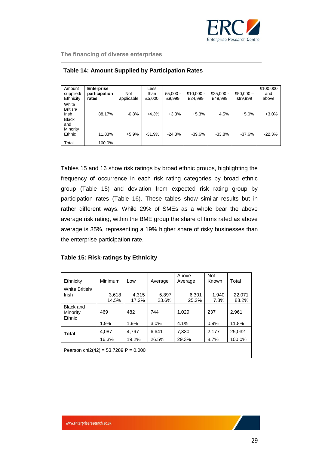

| Amount<br>supplied/<br>Ethnicity          | <b>Enterprise</b><br>participation<br>rates | <b>Not</b><br>applicable | Less<br>than<br>£5,000 | $£5,000 -$<br>£9.999 | £10.000 -<br>£24,999 | £25,000 -<br>£49,999 | £50,000 $-$<br>£99,999 | £100,000<br>and<br>above |
|-------------------------------------------|---------------------------------------------|--------------------------|------------------------|----------------------|----------------------|----------------------|------------------------|--------------------------|
| White<br>British/<br>Irish                | 88.17%                                      | $-0.8%$                  | $+4.3%$                | $+3.3%$              | $+5.3%$              | $+4.5%$              | $+5.0%$                | $+3.0%$                  |
| <b>Black</b><br>and<br>Minority<br>Ethnic | 11.83%                                      | $+5.9%$                  | $-31.9%$               | $-24.3%$             | $-39.6%$             | $-33.8\%$            | -37.6%                 | $-22.3%$                 |
| Total                                     | 100.0%                                      |                          |                        |                      |                      |                      |                        |                          |

|  | <b>Table 14: Amount Supplied by Participation Rates</b> |  |  |  |  |
|--|---------------------------------------------------------|--|--|--|--|
|  |                                                         |  |  |  |  |

Tables 15 and 16 show risk ratings by broad ethnic groups, highlighting the frequency of occurrence in each risk rating categories by broad ethnic group (Table 15) and deviation from expected risk rating group by participation rates (Table 16). These tables show similar results but in rather different ways. While 29% of SMEs as a whole bear the above average risk rating, within the BME group the share of firms rated as above average is 35%, representing a 19% higher share of risky businesses than the enterprise participation rate.

## **Table 15: Risk-ratings by Ethnicity**

| Ethnicity                              | Minimum        | Low            | Average        | Above<br>Average | <b>Not</b><br>Known | Total            |  |  |
|----------------------------------------|----------------|----------------|----------------|------------------|---------------------|------------------|--|--|
| White British/<br>Irish                | 3,618<br>14.5% | 4,315<br>17.2% | 5,897<br>23.6% | 6,301<br>25.2%   | 1,940<br>7.8%       | 22,071<br>88.2%  |  |  |
| <b>Black and</b><br>Minority<br>Ethnic | 469<br>1.9%    | 482<br>1.9%    | 744<br>3.0%    | 1.029<br>4.1%    | 237<br>0.9%         | 2,961<br>11.8%   |  |  |
| Total                                  | 4.087<br>16.3% | 4,797<br>19.2% | 6.641<br>26.5% | 7,330<br>29.3%   | 2,177<br>8.7%       | 25,032<br>100.0% |  |  |
| Pearson chi2(42) = $53.7289$ P = 0.000 |                |                |                |                  |                     |                  |  |  |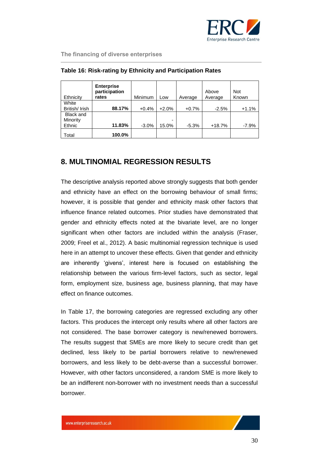

| Ethnicity                    | <b>Enterprise</b><br>participation<br>rates | Minimum | Low     | Average | Above<br>Average | <b>Not</b><br>Known |
|------------------------------|---------------------------------------------|---------|---------|---------|------------------|---------------------|
| White                        |                                             |         |         |         |                  |                     |
| British/Irish                | 88.17%                                      | $+0.4%$ | $+2.0%$ | $+0.7%$ | $-2.5%$          | $+1.1%$             |
| <b>Black and</b><br>Minority |                                             |         | -       |         |                  |                     |
| Ethnic                       | 11.83%                                      | $-3.0%$ | 15.0%   | $-5.3%$ | $+18.7%$         | -7.9%               |
| Total                        | 100.0%                                      |         |         |         |                  |                     |

## **Table 16: Risk-rating by Ethnicity and Participation Rates**

## <span id="page-29-0"></span>**8. MULTINOMIAL REGRESSION RESULTS**

The descriptive analysis reported above strongly suggests that both gender and ethnicity have an effect on the borrowing behaviour of small firms; however, it is possible that gender and ethnicity mask other factors that influence finance related outcomes. Prior studies have demonstrated that gender and ethnicity effects noted at the bivariate level, are no longer significant when other factors are included within the analysis (Fraser, 2009; Freel et al., 2012). A basic multinomial regression technique is used here in an attempt to uncover these effects. Given that gender and ethnicity are inherently 'givens', interest here is focused on establishing the relationship between the various firm-level factors, such as sector, legal form, employment size, business age, business planning, that may have effect on finance outcomes.

In Table 17, the borrowing categories are regressed excluding any other factors. This produces the intercept only results where all other factors are not considered. The base borrower category is new/renewed borrowers. The results suggest that SMEs are more likely to secure credit than get declined, less likely to be partial borrowers relative to new/renewed borrowers, and less likely to be debt-averse than a successful borrower. However, with other factors unconsidered, a random SME is more likely to be an indifferent non-borrower with no investment needs than a successful borrower.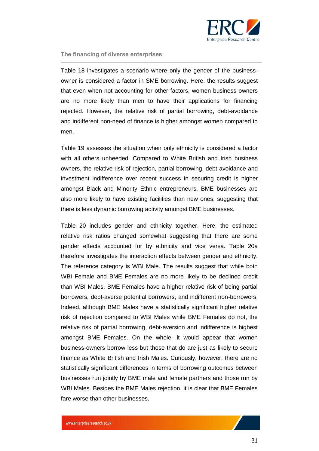

Table 18 investigates a scenario where only the gender of the businessowner is considered a factor in SME borrowing. Here, the results suggest that even when not accounting for other factors, women business owners are no more likely than men to have their applications for financing rejected. However, the relative risk of partial borrowing, debt-avoidance and indifferent non-need of finance is higher amongst women compared to men.

Table 19 assesses the situation when only ethnicity is considered a factor with all others unheeded. Compared to White British and Irish business owners, the relative risk of rejection, partial borrowing, debt-avoidance and investment indifference over recent success in securing credit is higher amongst Black and Minority Ethnic entrepreneurs. BME businesses are also more likely to have existing facilities than new ones, suggesting that there is less dynamic borrowing activity amongst BME businesses.

Table 20 includes gender and ethnicity together. Here, the estimated relative risk ratios changed somewhat suggesting that there are some gender effects accounted for by ethnicity and vice versa. Table 20a therefore investigates the interaction effects between gender and ethnicity. The reference category is WBI Male. The results suggest that while both WBI Female and BME Females are no more likely to be declined credit than WBI Males, BME Females have a higher relative risk of being partial borrowers, debt-averse potential borrowers, and indifferent non-borrowers. Indeed, although BME Males have a statistically significant higher relative risk of rejection compared to WBI Males while BME Females do not, the relative risk of partial borrowing, debt-aversion and indifference is highest amongst BME Females. On the whole, it would appear that women business-owners borrow less but those that do are just as likely to secure finance as White British and Irish Males. Curiously, however, there are no statistically significant differences in terms of borrowing outcomes between businesses run jointly by BME male and female partners and those run by WBI Males. Besides the BME Males rejection, it is clear that BME Females fare worse than other businesses.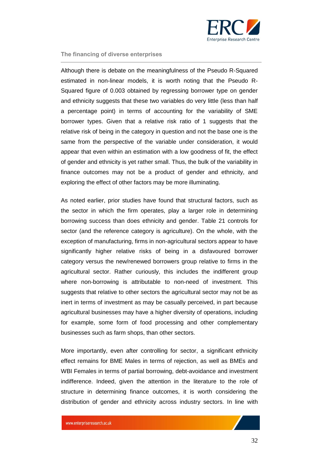

Although there is debate on the meaningfulness of the Pseudo R-Squared estimated in non-linear models, it is worth noting that the Pseudo R-Squared figure of 0.003 obtained by regressing borrower type on gender and ethnicity suggests that these two variables do very little (less than half a percentage point) in terms of accounting for the variability of SME borrower types. Given that a relative risk ratio of 1 suggests that the relative risk of being in the category in question and not the base one is the same from the perspective of the variable under consideration, it would appear that even within an estimation with a low goodness of fit, the effect of gender and ethnicity is yet rather small. Thus, the bulk of the variability in finance outcomes may not be a product of gender and ethnicity, and exploring the effect of other factors may be more illuminating.

As noted earlier, prior studies have found that structural factors, such as the sector in which the firm operates, play a larger role in determining borrowing success than does ethnicity and gender. Table 21 controls for sector (and the reference category is agriculture). On the whole, with the exception of manufacturing, firms in non-agricultural sectors appear to have significantly higher relative risks of being in a disfavoured borrower category versus the new/renewed borrowers group relative to firms in the agricultural sector. Rather curiously, this includes the indifferent group where non-borrowing is attributable to non-need of investment. This suggests that relative to other sectors the agricultural sector may not be as inert in terms of investment as may be casually perceived, in part because agricultural businesses may have a higher diversity of operations, including for example, some form of food processing and other complementary businesses such as farm shops, than other sectors.

More importantly, even after controlling for sector, a significant ethnicity effect remains for BME Males in terms of rejection, as well as BMEs and WBI Females in terms of partial borrowing, debt-avoidance and investment indifference. Indeed, given the attention in the literature to the role of structure in determining finance outcomes, it is worth considering the distribution of gender and ethnicity across industry sectors. In line with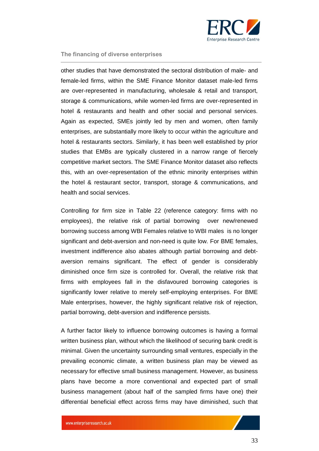

other studies that have demonstrated the sectoral distribution of male- and female-led firms, within the SME Finance Monitor dataset male-led firms are over-represented in manufacturing, wholesale & retail and transport, storage & communications, while women-led firms are over-represented in hotel & restaurants and health and other social and personal services. Again as expected, SMEs jointly led by men and women, often family enterprises, are substantially more likely to occur within the agriculture and hotel & restaurants sectors. Similarly, it has been well established by prior studies that EMBs are typically clustered in a narrow range of fiercely competitive market sectors. The SME Finance Monitor dataset also reflects this, with an over-representation of the ethnic minority enterprises within the hotel & restaurant sector, transport, storage & communications, and health and social services.

Controlling for firm size in Table 22 (reference category: firms with no employees), the relative risk of partial borrowing over new/renewed borrowing success among WBI Females relative to WBI males is no longer significant and debt-aversion and non-need is quite low. For BME females, investment indifference also abates although partial borrowing and debtaversion remains significant. The effect of gender is considerably diminished once firm size is controlled for. Overall, the relative risk that firms with employees fall in the disfavoured borrowing categories is significantly lower relative to merely self-employing enterprises. For BME Male enterprises, however, the highly significant relative risk of rejection, partial borrowing, debt-aversion and indifference persists.

A further factor likely to influence borrowing outcomes is having a formal written business plan, without which the likelihood of securing bank credit is minimal. Given the uncertainty surrounding small ventures, especially in the prevailing economic climate, a written business plan may be viewed as necessary for effective small business management. However, as business plans have become a more conventional and expected part of small business management (about half of the sampled firms have one) their differential beneficial effect across firms may have diminished, such that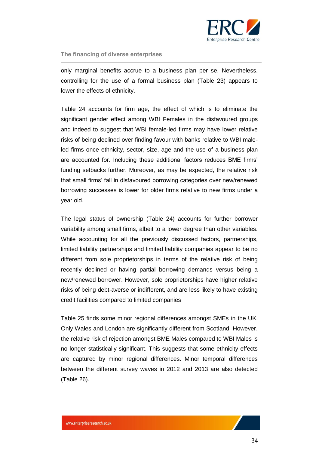

only marginal benefits accrue to a business plan per se. Nevertheless, controlling for the use of a formal business plan (Table 23) appears to lower the effects of ethnicity.

Table 24 accounts for firm age, the effect of which is to eliminate the significant gender effect among WBI Females in the disfavoured groups and indeed to suggest that WBI female-led firms may have lower relative risks of being declined over finding favour with banks relative to WBI maleled firms once ethnicity, sector, size, age and the use of a business plan are accounted for. Including these additional factors reduces BME firms' funding setbacks further. Moreover, as may be expected, the relative risk that small firms' fall in disfavoured borrowing categories over new/renewed borrowing successes is lower for older firms relative to new firms under a year old.

The legal status of ownership (Table 24) accounts for further borrower variability among small firms, albeit to a lower degree than other variables. While accounting for all the previously discussed factors, partnerships, limited liability partnerships and limited liability companies appear to be no different from sole proprietorships in terms of the relative risk of being recently declined or having partial borrowing demands versus being a new/renewed borrower. However, sole proprietorships have higher relative risks of being debt-averse or indifferent, and are less likely to have existing credit facilities compared to limited companies

Table 25 finds some minor regional differences amongst SMEs in the UK. Only Wales and London are significantly different from Scotland. However, the relative risk of rejection amongst BME Males compared to WBI Males is no longer statistically significant. This suggests that some ethnicity effects are captured by minor regional differences. Minor temporal differences between the different survey waves in 2012 and 2013 are also detected (Table 26).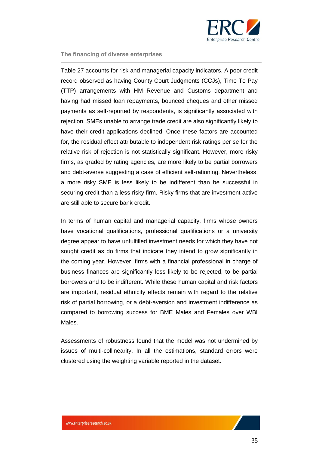

Table 27 accounts for risk and managerial capacity indicators. A poor credit record observed as having County Court Judgments (CCJs), Time To Pay (TTP) arrangements with HM Revenue and Customs department and having had missed loan repayments, bounced cheques and other missed payments as self-reported by respondents, is significantly associated with rejection. SMEs unable to arrange trade credit are also significantly likely to have their credit applications declined. Once these factors are accounted for, the residual effect attributable to independent risk ratings per se for the relative risk of rejection is not statistically significant. However, more risky firms, as graded by rating agencies, are more likely to be partial borrowers and debt-averse suggesting a case of efficient self-rationing. Nevertheless, a more risky SME is less likely to be indifferent than be successful in securing credit than a less risky firm. Risky firms that are investment active are still able to secure bank credit.

In terms of human capital and managerial capacity, firms whose owners have vocational qualifications, professional qualifications or a university degree appear to have unfulfilled investment needs for which they have not sought credit as do firms that indicate they intend to grow significantly in the coming year. However, firms with a financial professional in charge of business finances are significantly less likely to be rejected, to be partial borrowers and to be indifferent. While these human capital and risk factors are important, residual ethnicity effects remain with regard to the relative risk of partial borrowing, or a debt-aversion and investment indifference as compared to borrowing success for BME Males and Females over WBI Males.

Assessments of robustness found that the model was not undermined by issues of multi-collinearity. In all the estimations, standard errors were clustered using the weighting variable reported in the dataset.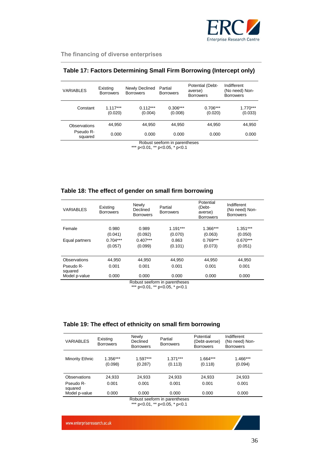

| <b>VARIABLES</b>              | Existing<br><b>Borrowers</b> | Newly Declined<br><b>Borrowers</b> | Partial<br><b>Borrowers</b> | Potential (Debt-<br>averse)<br><b>Borrowers</b> | Indifferent<br>(No need) Non-<br><b>Borrowers</b> |  |  |  |
|-------------------------------|------------------------------|------------------------------------|-----------------------------|-------------------------------------------------|---------------------------------------------------|--|--|--|
| Constant                      | $1.117***$<br>(0.020)        | $0.112***$<br>(0.004)              | $0.306***$<br>(0.008)       | $0.706***$<br>(0.020)                           | $1.770***$<br>(0.033)                             |  |  |  |
| Observations                  | 44.950                       | 44.950                             | 44.950                      | 44.950                                          | 44,950                                            |  |  |  |
| Pseudo R-<br>squared          | 0.000                        | 0.000                              | 0.000                       | 0.000                                           | 0.000                                             |  |  |  |
| Robust seeform in parentheses |                              |                                    |                             |                                                 |                                                   |  |  |  |

## **Table 17: Factors Determining Small Firm Borrowing (Intercept only)**

Robust seeform in parentheses

\*\*\* p<0.01, \*\* p<0.05, \* p<0.1

## **Table 18: The effect of gender on small firm borrowing**

| <b>VARIABLES</b>     | Existing<br><b>Borrowers</b> | Newly<br>Declined<br><b>Borrowers</b> | Partial<br><b>Borrowers</b> | Potential<br>(Debt-<br>averse)<br><b>Borrowers</b> | Indifferent<br>(No need) Non-<br><b>Borrowers</b> |
|----------------------|------------------------------|---------------------------------------|-----------------------------|----------------------------------------------------|---------------------------------------------------|
| Female               | 0.980                        | 0.989                                 | $1.191***$                  | 1.366***                                           | $1.351***$                                        |
|                      | (0.041)                      | (0.092)                               | (0.070)                     | (0.063)                                            | (0.050)                                           |
| Equal partners       | $0.704***$                   | $0.407***$                            | 0.863                       | $0.769***$                                         | $0.670***$                                        |
|                      | (0.057)                      | (0.099)                               | (0.101)                     | (0.073)                                            | (0.051)                                           |
|                      |                              |                                       |                             |                                                    |                                                   |
| Observations         | 44,950                       | 44,950                                | 44,950                      | 44.950                                             | 44,950                                            |
| Pseudo R-<br>squared | 0.001                        | 0.001                                 | 0.001                       | 0.001                                              | 0.001                                             |
| Model p-value        | 0.000                        | 0.000                                 | 0.000                       | 0.000                                              | 0.000                                             |
|                      |                              |                                       | .                           |                                                    |                                                   |

Robust seeform in parentheses \*\*\* p<0.01, \*\* p<0.05, \* p<0.1

### **Table 19: The effect of ethnicity on small firm borrowing**

| <b>VARIABLES</b>     | Existing<br><b>Borrowers</b> | Newly<br>Declined<br><b>Borrowers</b> | Partial<br><b>Borrowers</b>                | Potential<br>(Debt-averse)<br><b>Borrowers</b> | Indifferent<br>(No need) Non-<br><b>Borrowers</b> |
|----------------------|------------------------------|---------------------------------------|--------------------------------------------|------------------------------------------------|---------------------------------------------------|
| Minority Ethnic      | 1.356***<br>(0.098)          | $1.597***$<br>(0.287)                 | $1.371***$<br>(0.113)                      | $1.664***$<br>(0.118)                          | 1.466***<br>(0.094)                               |
| Observations         | 24,933                       | 24,933                                | 24,933                                     | 24,933                                         | 24,933                                            |
| Pseudo R-<br>squared | 0.001                        | 0.001                                 | 0.001                                      | 0.001                                          | 0.001                                             |
| Model p-value        | 0.000                        | 0.000                                 | 0.000<br>Deletted and case in monocleaners | 0.000                                          | 0.000                                             |

Robust seeform in parentheses \*\*\* p<0.01, \*\* p<0.05, \* p<0.1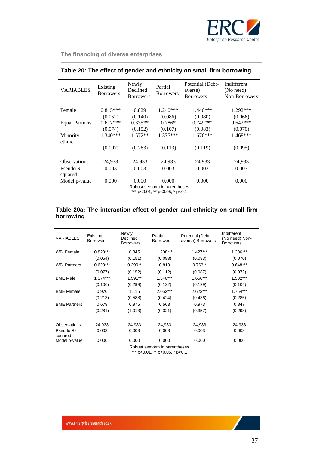

|                       | Existing         | Newly                        | Partial                       | Potential (Debt-            | Indifferent                |
|-----------------------|------------------|------------------------------|-------------------------------|-----------------------------|----------------------------|
| <b>VARIABLES</b>      | <b>Borrowers</b> | Declined<br><b>Borrowers</b> | <b>Borrowers</b>              | averse)<br><b>Borrowers</b> | (No need)<br>Non-Borrowers |
|                       |                  |                              |                               |                             |                            |
| Female                | $0.815***$       | 0.829                        | $1.240***$                    | $1.446***$                  | 1.292***                   |
|                       | (0.052)          | (0.140)                      | (0.086)                       | (0.080)                     | (0.066)                    |
| <b>Equal Partners</b> | $0.617***$       | $0.335**$                    | $0.786*$                      | $0.749***$                  | $0.642***$                 |
|                       | (0.074)          | (0.152)                      | (0.107)                       | (0.083)                     | (0.070)                    |
| Minority              | $1.340***$       | $1.572**$                    | $1.375***$                    | 1.676***                    | 1.468***                   |
| ethnic                |                  |                              |                               |                             |                            |
|                       | (0.097)          | (0.283)                      | (0.113)                       | (0.119)                     | (0.095)                    |
|                       |                  |                              |                               |                             |                            |
| <b>Observations</b>   | 24,933           | 24,933                       | 24,933                        | 24,933                      | 24,933                     |
| Pseudo R-             | 0.003            | 0.003                        | 0.003                         | 0.003                       | 0.003                      |
| squared               |                  |                              |                               |                             |                            |
| Model p-value         | 0.000            | 0.000                        | 0.000                         | 0.000                       | 0.000                      |
|                       |                  |                              | Robust seeform in parentheses |                             |                            |
|                       |                  |                              | $***$ 0.04 $***$ 0.05 $*$ 0.4 |                             |                            |

## **Table 20: The effect of gender and ethnicity on small firm borrowing**

\*\*\* p<0.01, \*\* p<0.05, \* p<0.1

## **Table 20a: The interaction effect of gender and ethnicity on small firm borrowing**

| <b>VARIABLES</b>     | Existing<br><b>Borrowers</b> | Newly<br>Declined<br><b>Borrowers</b> | Partial<br><b>Borrowers</b> | Potential (Debt-<br>averse) Borrowers | Indifferent<br>(No need) Non-<br><b>Borrowers</b> |
|----------------------|------------------------------|---------------------------------------|-----------------------------|---------------------------------------|---------------------------------------------------|
| <b>WBI Female</b>    | $0.828***$                   | 0.845                                 | 1.208***                    | $1.427***$                            | 1.306***                                          |
|                      | (0.054)                      | (0.151)                               | (0.088)                     | (0.083)                               | (0.070)                                           |
| <b>WBI Partners</b>  | $0.628***$                   | $0.299**$                             | 0.819                       | $0.763**$                             | $0.648***$                                        |
|                      | (0.077)                      | (0.152)                               | (0.112)                     | (0.087)                               | (0.072)                                           |
| <b>BME Male</b>      | $1.374***$                   | $1.591**$                             | $1.340***$                  | 1.656***                              | 1.502***                                          |
|                      | (0.106)                      | (0.299)                               | (0.122)                     | (0.129)                               | (0.104)                                           |
| <b>BME Female</b>    | 0.970                        | 1.115                                 | $2.052***$                  | $2.623***$                            | 1.764***                                          |
|                      | (0.213)                      | (0.588)                               | (0.424)                     | (0.436)                               | (0.285)                                           |
| <b>BME Partners</b>  | 0.679                        | 0.975                                 | 0.563                       | 0.973                                 | 0.847                                             |
|                      | (0.281)                      | (1.013)                               | (0.321)                     | (0.357)                               | (0.298)                                           |
|                      |                              |                                       |                             |                                       |                                                   |
| Observations         | 24,933                       | 24.933                                | 24,933                      | 24,933                                | 24,933                                            |
| Pseudo R-<br>squared | 0.003                        | 0.003                                 | 0.003                       | 0.003                                 | 0.003                                             |
| Model p-value        | 0.000                        | 0.000                                 | 0.000                       | 0.000                                 | 0.000                                             |

Robust seeform in parentheses \*\*\* p<0.01, \*\* p<0.05, \* p<0.1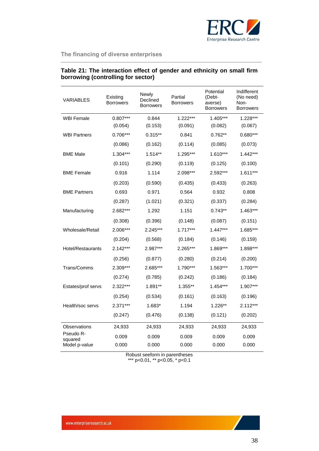

| <b>VARIABLES</b>     | Existing<br><b>Borrowers</b> | Newly<br>Declined<br><b>Borrowers</b> | Partial<br><b>Borrowers</b> | Potential<br>(Debt-<br>averse)<br><b>Borrowers</b> | Indifferent<br>(No need)<br>Non-<br><b>Borrowers</b> |
|----------------------|------------------------------|---------------------------------------|-----------------------------|----------------------------------------------------|------------------------------------------------------|
| <b>WBI Female</b>    | $0.807***$                   | 0.844                                 | $1.222***$                  | 1.405***                                           | 1.228***                                             |
|                      | (0.054)                      | (0.153)                               | (0.091)                     | (0.082)                                            | (0.067)                                              |
| <b>WBI Partners</b>  | $0.706***$                   | $0.315**$                             | 0.841                       | $0.762**$                                          | $0.680***$                                           |
|                      | (0.086)                      | (0.162)                               | (0.114)                     | (0.085)                                            | (0.073)                                              |
| <b>BME Male</b>      | $1.304***$                   | $1.514**$                             | 1.295***                    | 1.610***                                           | $1.442***$                                           |
|                      | (0.101)                      | (0.290)                               | (0.119)                     | (0.125)                                            | (0.100)                                              |
| <b>BME Female</b>    | 0.916                        | 1.114                                 | 2.098***                    | 2.592***                                           | $1.611***$                                           |
|                      | (0.203)                      | (0.590)                               | (0.435)                     | (0.433)                                            | (0.263)                                              |
| <b>BME Partners</b>  | 0.693                        | 0.971                                 | 0.564                       | 0.932                                              | 0.808                                                |
|                      | (0.287)                      | (1.021)                               | (0.321)                     | (0.337)                                            | (0.284)                                              |
| Manufacturing        | 2.682***                     | 1.292                                 | 1.151                       | $0.743**$                                          | 1.463***                                             |
|                      | (0.308)                      | (0.396)                               | (0.148)                     | (0.087)                                            | (0.151)                                              |
| Wholesale/Retail     | 2.006***                     | 2.245***                              | $1.717***$                  | $1.447***$                                         | 1.685***                                             |
|                      | (0.204)                      | (0.568)                               | (0.184)                     | (0.146)                                            | (0.159)                                              |
| Hotel/Restaurants    | $2.142***$                   | 2.987***                              | 2.265***                    | 1.869***                                           | 1.898***                                             |
|                      | (0.256)                      | (0.877)                               | (0.280)                     | (0.214)                                            | (0.200)                                              |
| Trans/Comms          | 2.309***                     | 2.685***                              | 1.790***                    | 1.563***                                           | 1.700***                                             |
|                      | (0.274)                      | (0.785)                               | (0.242)                     | (0.186)                                            | (0.184)                                              |
| Estates/prof servs   | 2.322***                     | 1.891**                               | 1.355**                     | 1.454***                                           | 1.907***                                             |
|                      | (0.254)                      | (0.534)                               | (0.161)                     | (0.163)                                            | (0.196)                                              |
| Health/soc servs     | $2.371***$                   | 1.683*                                | 1.194                       | $1.226**$                                          | 2.112***                                             |
|                      | (0.247)                      | (0.476)                               | (0.138)                     | (0.121)                                            | (0.202)                                              |
| Observations         | 24,933                       | 24,933                                | 24,933                      | 24,933                                             | 24,933                                               |
| Pseudo R-<br>squared | 0.009                        | 0.009                                 | 0.009                       | 0.009                                              | 0.009                                                |
| Model p-value        | 0.000                        | 0.000                                 | 0.000                       | 0.000                                              | 0.000                                                |

## **Table 21: The interaction effect of gender and ethnicity on small firm borrowing (controlling for sector)**

Robust seeform in parentheses

\*\*\* p<0.01, \*\* p<0.05, \* p<0.1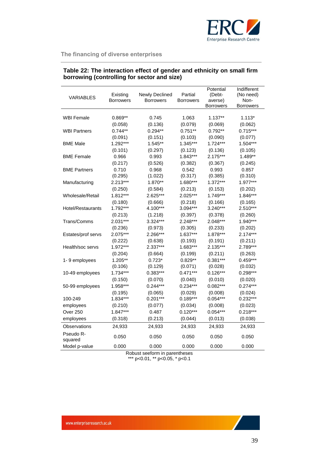

| <b>VARIABLES</b>     | Existing<br><b>Borrowers</b> | Newly Declined<br><b>Borrowers</b> | Partial<br><b>Borrowers</b> | Potential<br>(Debt-<br>averse)<br><b>Borrowers</b> | Indifferent<br>(No need)<br>Non-<br><b>Borrowers</b> |
|----------------------|------------------------------|------------------------------------|-----------------------------|----------------------------------------------------|------------------------------------------------------|
| <b>WBI Female</b>    | $0.869**$                    | 0.745                              | 1.063                       | $1.137**$                                          | $1.113*$                                             |
|                      | (0.058)                      | (0.136)                            | (0.079)                     | (0.069)                                            | (0.062)                                              |
| <b>WBI Partners</b>  | $0.744**$                    | $0.294**$                          | $0.751**$                   | $0.792**$                                          | $0.715***$                                           |
|                      | (0.091)                      | (0.151)                            | (0.103)                     | (0.090)                                            | (0.077)                                              |
| <b>BME Male</b>      | $1.292***$                   | $1.545**$                          | 1.345***                    | $1.724***$                                         | $1.504***$                                           |
|                      | (0.101)                      | (0.297)                            | (0.123)                     | (0.136)                                            | (0.105)                                              |
| <b>BME Female</b>    | 0.966                        | 0.993                              | 1.843***                    | 2.175***                                           | 1.489**                                              |
|                      | (0.217)                      | (0.526)                            | (0.382)                     | (0.367)                                            | (0.245)                                              |
| <b>BME Partners</b>  | 0.710                        | 0.968                              | 0.542                       | 0.993                                              | 0.857                                                |
|                      | (0.295)                      | (1.022)                            | (0.317)                     | (0.385)                                            | (0.310)                                              |
| Manufacturing        | 2.213***                     | 1.870**                            | 1.680***                    | $1.372***$                                         | 1.977***                                             |
|                      | (0.250)                      | (0.584)                            | (0.213)                     | (0.153)                                            | (0.202)                                              |
| Wholesale/Retail     | $1.812***$                   | 2.625***                           | 2.025***                    | $1.749***$                                         | 1.846***                                             |
|                      | (0.180)                      | (0.666)                            | (0.218)                     | (0.166)                                            | (0.165)                                              |
| Hotel/Restaurants    | 1.792***                     | 4.100***                           | 3.094***                    | $3.240***$                                         | $2.510***$                                           |
|                      | (0.213)                      | (1.218)                            | (0.397)                     | (0.378)                                            | (0.260)                                              |
| Trans/Comms          | $2.031***$                   | 3.324***                           | 2.248***                    | 2.048***                                           | 1.940***                                             |
|                      | (0.236)                      | (0.973)                            | (0.305)                     | (0.233)                                            | (0.202)                                              |
| Estates/prof servs   | 2.075***                     | 2.266***                           | $1.637***$                  | 1.878***                                           | $2.174***$                                           |
|                      | (0.222)                      | (0.638)                            | (0.193)                     | (0.191)                                            | (0.211)                                              |
| Health/soc servs     | 1.972***                     | 2.337***                           | 1.683***                    | $2.135***$                                         | 2.789***                                             |
|                      | (0.204)                      | (0.664)                            | (0.199)                     | (0.211)                                            | (0.263)                                              |
| 1-9 employees        | $1.205**$                    | $0.723*$                           | $0.829**$                   | $0.381***$                                         | $0.459***$                                           |
|                      | (0.106)                      | (0.129)                            | (0.071)                     | (0.028)                                            | (0.032)                                              |
| 10-49 employees      | $1.734***$                   | $0.383***$                         | $0.471***$                  | $0.126***$                                         | $0.298***$                                           |
|                      | (0.150)                      | (0.070)                            | (0.040)                     | (0.010)                                            | (0.020)                                              |
| 50-99 employees      | 1.958***                     | $0.244***$                         | $0.234***$                  | $0.082***$                                         | $0.274***$                                           |
|                      | (0.195)                      | (0.065)                            | (0.029)                     | (0.008)                                            | (0.024)                                              |
| 100-249              | 1.834***                     | $0.201***$                         | $0.189***$                  | $0.054***$                                         | $0.232***$                                           |
| employees            | (0.210)                      | (0.077)                            | (0.034)                     | (0.008)                                            | (0.023)                                              |
| Over 250             | $1.847***$                   | 0.487                              | $0.120***$                  | $0.054***$                                         | $0.218***$                                           |
| employees            | (0.318)                      | (0.213)                            | (0.044)                     | (0.013)                                            | (0.038)                                              |
| Observations         | 24,933                       | 24,933                             | 24,933                      | 24,933                                             | 24,933                                               |
| Pseudo R-<br>squared | 0.050                        | 0.050                              | 0.050                       | 0.050                                              | 0.050                                                |
| Model p-value        | 0.000                        | 0.000                              | 0.000                       | 0.000                                              | 0.000                                                |

## **Table 22: The interaction effect of gender and ethnicity on small firm borrowing (controlling for sector and size)**

Robust seeform in parentheses

\*\*\* p<0.01, \*\* p<0.05, \* p<0.1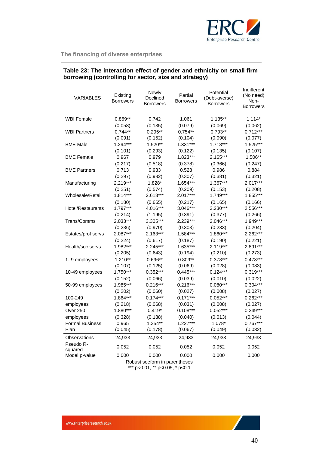

| <b>VARIABLES</b>         | Existing<br><b>Borrowers</b> | Newly<br>Declined<br><b>Borrowers</b> | Partial<br><b>Borrowers</b> | Potential<br>(Debt-averse)<br><b>Borrowers</b> | Indifferent<br>(No need)<br>Non-<br>Borrowers |
|--------------------------|------------------------------|---------------------------------------|-----------------------------|------------------------------------------------|-----------------------------------------------|
|                          |                              |                                       |                             |                                                |                                               |
| <b>WBI Female</b>        | $0.869**$                    | 0.742                                 | 1.061                       | 1.135**                                        | $1.114*$                                      |
|                          | (0.058)                      | (0.135)                               | (0.079)                     | (0.069)                                        | (0.062)                                       |
| <b>WBI Partners</b>      | $0.744**$                    | $0.295**$                             | $0.754**$                   | $0.793**$                                      | $0.712***$                                    |
|                          | (0.091)                      | (0.152)                               | (0.104)                     | (0.090)                                        | (0.077)                                       |
| <b>BME Male</b>          | $1.294***$                   | $1.520**$                             | $1.331***$                  | $1.718***$                                     | 1.525***                                      |
|                          | (0.101)                      | (0.293)                               | (0.122)                     | (0.135)                                        | (0.107)                                       |
| <b>BME Female</b>        | 0.967                        | 0.979                                 | 1.823***                    | 2.165***                                       | 1.506**                                       |
|                          | (0.217)                      | (0.518)                               | (0.378)                     | (0.366)                                        | (0.247)                                       |
| <b>BME Partners</b>      | 0.713                        | 0.933                                 | 0.528                       | 0.986                                          | 0.884                                         |
|                          | (0.297)                      | (0.982)                               | (0.307)                     | (0.381)                                        | (0.321)                                       |
| Manufacturing            | 2.219***                     | 1.828*                                | 1.654***                    | 1.367***                                       | 2.017***                                      |
|                          | (0.251)                      | (0.574)                               | (0.209)                     | (0.153)                                        | (0.208)                                       |
| Wholesale/Retail         | $1.814***$                   | 2.613***                              | 2.017***                    | 1.749***                                       | 1.855***                                      |
|                          | (0.180)                      | (0.665)                               | (0.217)                     | (0.165)                                        | (0.166)                                       |
| <b>Hotel/Restaurants</b> | $1.797***$                   | 4.016***                              | 3.046***                    | 3.230***                                       | 2.556***                                      |
|                          | (0.214)                      | (1.195)                               | (0.391)                     | (0.377)                                        | (0.266)                                       |
| Trans/Comms              | 2.033***                     | 3.305***                              | 2.239***                    | 2.046***                                       | 1.949***                                      |
|                          | (0.236)                      | (0.970)                               | (0.303)                     | (0.233)                                        | (0.204)                                       |
| Estates/prof servs       | 2.087***                     | $2.163***$                            | 1.584***                    | 1.860***                                       | 2.262***                                      |
|                          | (0.224)                      | (0.617)                               | (0.187)                     | (0.190)                                        | (0.221)                                       |
| Health/soc servs         | 1.982***                     | 2.245***                              | 1.635***                    | 2.119***                                       | 2.891***                                      |
|                          | (0.205)                      | (0.643)                               | (0.194)                     | (0.210)                                        | (0.273)                                       |
| 1-9 employees            | $1.210**$                    | 0.696**                               | $0.809**$                   | $0.378***$                                     | $0.473***$                                    |
|                          | (0.107)                      | (0.125)                               | (0.069)                     | (0.028)                                        | (0.033)                                       |
| 10-49 employees          | $1.750***$                   | $0.352***$                            | $0.445***$                  | $0.124***$                                     | $0.319***$                                    |
|                          | (0.152)                      | (0.066)                               | (0.039)                     | (0.010)                                        | (0.022)                                       |
| 50-99 employees          | 1.985***                     | $0.216***$                            | $0.216***$                  | $0.080***$                                     | $0.304***$                                    |
|                          | (0.202)                      | (0.060)                               | (0.027)                     | (0.008)                                        | (0.027)                                       |
| 100-249                  | 1.864***                     | $0.174***$                            | $0.171***$                  | $0.052***$                                     | $0.262***$                                    |
| employees                | (0.218)                      | (0.068)                               | (0.031)                     | (0.008)                                        | (0.027)                                       |
| Over 250                 | 1.880***                     | $0.419*$                              | $0.108***$                  | $0.052***$                                     | $0.249***$                                    |
| employees                | (0.328)                      | (0.188)                               | (0.040)                     | (0.013)                                        | (0.044)                                       |
| <b>Formal Business</b>   | 0.965                        | $1.354**$                             | $1.227***$                  | 1.078*                                         | $0.767***$                                    |
| Plan                     | (0.045)                      | (0.178)                               | (0.067)                     | (0.049)                                        | (0.032)                                       |
| Observations             | 24,933                       | 24,933                                | 24,933                      | 24,933                                         | 24,933                                        |
| Pseudo R-<br>squared     | 0.052                        | 0.052                                 | 0.052                       | 0.052                                          | 0.052                                         |
| Model p-value            | 0.000                        | 0.000                                 | 0.000                       | 0.000                                          | 0.000                                         |

## **Table 23: The interaction effect of gender and ethnicity on small firm borrowing (controlling for sector, size and strategy)**

Robust seeform in parentheses \*\*\* p<0.01, \*\* p<0.05, \* p<0.1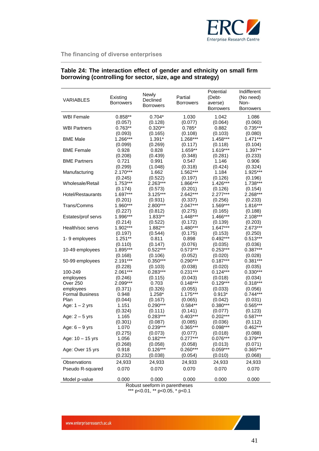

## **Table 24: The interaction effect of gender and ethnicity on small firm borrowing (controlling for sector, size, age and strategy)**

| VARIABLES              | Existing<br><b>Borrowers</b> | Newly<br>Declined             | Partial<br><b>Borrowers</b> | Potential<br>(Debt-<br>averse) | Indifferent<br>(No need)<br>Non- |
|------------------------|------------------------------|-------------------------------|-----------------------------|--------------------------------|----------------------------------|
|                        |                              | <b>Borrowers</b>              |                             | <b>Borrowers</b>               | <b>Borrowers</b>                 |
| <b>WBI Female</b>      | $0.858**$                    | $0.704*$                      | 1.030                       | 1.042                          | 1.086                            |
|                        | (0.057)                      | (0.128)                       | (0.077)                     | (0.064)                        | (0.060)                          |
| <b>WBI Partners</b>    | $0.763**$                    | $0.320**$                     | $0.785*$                    | 0.882                          | $0.735***$                       |
|                        | (0.093)                      | (0.165)                       | (0.108)                     | (0.103)                        | (0.080)                          |
| <b>BME Male</b>        | 1.266***                     | 1.391*                        | 1.268***                    | 1.458***                       | $1.471***$                       |
|                        | (0.099)                      | (0.269)                       | (0.117)                     | (0.118)                        | (0.104)                          |
| <b>BME Female</b>      | 0.928                        | 0.828                         | 1.659**                     | 1.619***                       | 1.397**                          |
|                        | (0.208)                      | (0.439)                       | (0.348)                     | (0.281)                        | (0.233)                          |
| <b>BME Partners</b>    | 0.721                        | 0.991                         | 0.547                       | 1.146                          | 0.906                            |
|                        | (0.299)                      | (1.048)                       | (0.318)                     | (0.424)                        | (0.324)                          |
| Manufacturing          | 2.170***                     | 1.662                         | 1.562***                    | 1.184                          | 1.925***                         |
|                        | (0.245)                      | (0.522)                       | (0.197)                     | (0.126)                        | (0.196)                          |
| Wholesale/Retail       | 1.753***                     | 2.263***                      | 1.866***                    | 1.426***                       | 1.738***                         |
|                        | (0.174)                      | (0.573)                       | (0.201)                     | (0.126)                        | (0.154)                          |
| Hotel/Restaurants      | 1.697***                     | $3.125***$                    | 2.642***                    | $2.277***$                     | 2.268***                         |
|                        | (0.201)                      | (0.931)                       | (0.337)                     | (0.256)                        | (0.233)                          |
| Trans/Comms            | 1.960***                     | 2.800***                      | $2.047***$                  | 1.569***                       | 1.816***                         |
|                        | (0.227)                      | (0.812)                       | (0.275)                     | (0.165)                        | (0.188)                          |
| Estates/prof servs     | 1.996***                     | 1.833**                       | $1.448***$                  | 1.466***                       | 2.108***                         |
|                        | (0.214)                      | (0.522)                       | (0.172)                     | (0.139)                        | (0.203)                          |
| Health/soc servs       | 1.902***                     | 1.882**                       | 1.480***                    | $1.647***$                     | 2.673***                         |
|                        | (0.197)                      | (0.544)                       | (0.175)                     | (0.153)                        | (0.250)                          |
| 1-9 employees          | $1.251**$                    | 0.811                         | 0.898                       | $0.492***$                     | $0.513***$                       |
|                        | (0.110)                      | (0.147)                       | (0.076)                     | (0.035)                        | (0.036)                          |
| 10-49 employees        | 1.895***                     | $0.522***$                    | $0.573***$                  | $0.253***$                     | $0.387***$                       |
|                        | (0.168)                      | (0.106)                       | (0.052)                     | (0.020)                        | (0.028)                          |
| 50-99 employees        | 2.191***                     | $0.350***$                    | $0.290***$                  | $0.187***$                     | $0.381***$                       |
|                        | (0.228)                      | (0.103)                       | (0.038)                     | (0.020)                        | (0.035)                          |
| 100-249                | 2.061***                     | $0.283***$                    | $0.231***$                  | $0.124***$                     | $0.330***$                       |
| employees              | (0.246)                      | (0.115)                       | (0.043)                     | (0.018)                        | (0.034)                          |
| Over 250               | 2.099***                     | 0.703                         | $0.148***$                  | $0.129***$                     | $0.318***$                       |
| employees              | (0.371)                      | (0.326)                       | (0.055)                     | (0.033)                        | (0.056)                          |
| <b>Formal Business</b> | 0.948                        | 1.258*                        | $1.175***$                  | $0.913*$                       | $0.744***$                       |
| Plan                   | (0.044)                      | (0.167)                       | (0.065)                     | (0.042)                        | (0.031)                          |
| Age: $1 - 2$ yrs       | 1.151                        | $0.290***$                    | $0.584**$                   | $0.380***$                     | 0.565***                         |
|                        | (0.324)                      | (0.111)                       | (0.141)                     | (0.077)                        | (0.123)                          |
| Age: $2 - 5$ yrs       | 1.165                        | $0.283***$                    | $0.403***$                  | $0.202***$                     | 0.587***                         |
|                        | (0.301)                      | (0.087)                       | (0.085)                     | (0.036)                        | (0.112)                          |
| Age: $6 - 9$ yrs       | 1.070                        | $0.239***$                    | 0.365***                    | 0.098***                       | $0.462***$                       |
|                        | (0.275)                      | (0.073)                       | (0.077)                     | (0.018)                        | (0.088)                          |
| Age: 10 - 15 yrs       | 1.056                        | $0.182***$                    | $0.277***$                  | $0.076***$                     | $0.379***$                       |
|                        | (0.268)                      | (0.058)                       | (0.058)                     | (0.013)                        | (0.071)                          |
| Age: Over 15 yrs       | 0.918                        | $0.126***$                    | $0.260***$                  | $0.059***$                     | $0.365***$                       |
|                        | (0.232)                      | (0.038)                       | (0.054)                     | (0.010)                        | (0.068)                          |
| Observations           | 24,933                       | 24,933                        | 24,933                      | 24,933                         | 24,933                           |
| Pseudo R-squared       | 0.070                        | 0.070                         | 0.070                       | 0.070                          | 0.070                            |
| Model p-value          | 0.000                        | 0.000                         | 0.000                       | 0.000                          | 0.000                            |
|                        |                              | Robust seeform in narentheses |                             |                                |                                  |

Robust seeform in parentheses \*\*\* p<0.01, \*\* p<0.05, \* p<0.1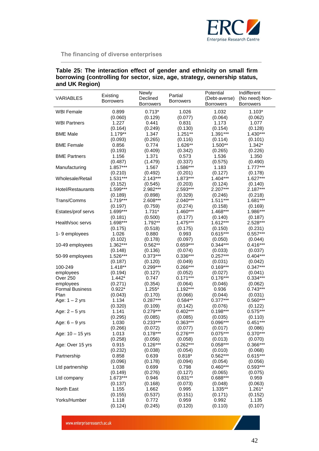

| Table 25: The interaction effect of gender and ethnicity on small firm    |  |
|---------------------------------------------------------------------------|--|
| borrowing (controlling for sector, size, age, strategy, ownership status, |  |
| and UK Region)                                                            |  |

|                        |                       | Newly            | Partial             | Potential        | Indifferent           |
|------------------------|-----------------------|------------------|---------------------|------------------|-----------------------|
| <b>VARIABLES</b>       | Existing              | Declined         |                     | (Debt-averse)    | (No need) Non-        |
|                        | <b>Borrowers</b>      | <b>Borrowers</b> | <b>Borrowers</b>    | <b>Borrowers</b> | <b>Borrowers</b>      |
| <b>WBI Female</b>      | 0.899                 | $0.713*$         | 1.026               | 1.032            | $1.103*$              |
|                        | (0.060)               | (0.129)          | (0.077)             | (0.064)          | (0.062)               |
| <b>WBI Partners</b>    | 1.227                 | 0.441            | 0.831               | 1.173            | 1.077                 |
|                        | (0.164)               | (0.249)          | (0.130)             | (0.154)          | (0.128)               |
| <b>BME Male</b>        | 1.179**               | 1.347            | $1.251**$           | 1.391***         | $1.430***$            |
|                        | (0.093)               | (0.265)          | (0.116)             | (0.114)          | (0.101)               |
| <b>BME Female</b>      | 0.856                 | 0.774            | 1.626**             | 1.500**          | $1.342*$              |
|                        | (0.193)               |                  |                     |                  | (0.226)               |
|                        |                       | (0.409)<br>1.371 | (0.342)             | (0.265)          | 1.350                 |
| <b>BME Partners</b>    | 1.156                 |                  | 0.573               | 1.536            |                       |
|                        | (0.487)<br>$1.857***$ | (1.479)<br>1.567 | (0.337)<br>1.586*** | (0.575)          | (0.490)<br>$1.777***$ |
| Manufacturing          |                       |                  |                     | 1.183            |                       |
|                        | (0.210)               | (0.492)          | (0.201)             | (0.127)          | (0.178)               |
| Wholesale/Retail       | $1.531***$            | $2.143***$       | 1.873***            | $1.404***$       | $1.627***$            |
|                        | (0.152)               | (0.545)          | (0.203)             | (0.124)          | (0.140)               |
| Hotel/Restaurants      | 1.599***              | 2.982***         | 2.593***            | 2.207***         | $2.187***$            |
|                        | (0.189)               | (0.898)          | (0.329)             | (0.246)          | (0.218)               |
| Trans/Comms            | $1.719***$            | 2.608***         | 2.040***            | $1.511***$       | $1.681***$            |
|                        | (0.197)               | (0.759)          | (0.274)             | (0.158)          | (0.169)               |
| Estates/prof servs     | 1.699***              | $1.731*$         | $1.460***$          | 1.468***         | 1.986***              |
|                        | (0.181)               | (0.500)          | (0.177)             | (0.140)          | (0.187)               |
| Health/soc servs       | 1.698***              | $1.792**$        | 1.475***            | 1.612***         | 2.528***              |
|                        | (0.175)               | (0.518)          | (0.175)             | (0.150)          | (0.231)               |
| 1-9 employees          | 1.026                 | 0.880            | 0.993               | $0.615***$       | $0.557***$            |
|                        | (0.102)               | (0.178)          | (0.097)             | (0.050)          | (0.044)               |
| 10-49 employees        | 1.362***              | $0.562**$        | $0.659***$          | $0.344***$       | $0.416***$            |
|                        | (0.148)               | (0.136)          | (0.074)             | (0.033)          | (0.037)               |
| 50-99 employees        | 1.526***              | $0.373***$       | $0.336***$          | $0.257***$       | $0.404***$            |
|                        | (0.187)               | (0.120)          | (0.049)             | (0.031)          | (0.042)               |
| 100-249                | 1.418**               | $0.299***$       | $0.266***$          | $0.169***$       | $0.347***$            |
| employees              | (0.194)               | (0.127)          | (0.052)             | (0.027)          | (0.041)               |
| Over 250               | $1.442*$              | 0.747            | $0.171***$          | $0.176***$       | $0.334***$            |
| employees              | (0.271)               | (0.354)          | (0.064)             | (0.046)          | (0.062)               |
| <b>Formal Business</b> | $0.922*$              | $1.255*$         | 1.192***            | 0.936            | $0.743***$            |
| Plan                   | (0.043)               | (0.170)          | (0.066)             | (0.044)          | (0.031)               |
| Age: $1 - 2$ yrs       | 1.134                 | $0.287***$       | $0.584**$           | $0.377***$       | $0.560***$            |
|                        | (0.320)               | (0.109)          | (0.142)             | (0.076)          | (0.122)               |
| Age: $2 - 5$ yrs       | 1.141                 | $0.279***$       | $0.402***$          | $0.198***$       | $0.575***$            |
|                        | (0.295)               | (0.085)          | (0.085)             | (0.035)          | (0.110)               |
| Age: $6 - 9$ yrs       | 1.030                 | $0.233***$       | $0.363***$          | $0.096***$       | $0.451***$            |
|                        | (0.266)               | (0.072)          | (0.077)             | (0.017)          | (0.086)               |
| Age: 10 - 15 yrs       | 1.013                 | $0.178***$       | $0.276***$          | $0.075***$       | $0.370***$            |
|                        | (0.258)               | (0.056)          | (0.058)             | (0.013)          | (0.070)               |
| Age: Over 15 yrs       | 0.915                 | $0.126***$       | $0.262***$          | $0.058***$       | 0.366***              |
|                        | (0.232)               | (0.038)          | (0.054)             | (0.010)          | (0.068)               |
| Partnership            | 0.858                 | 0.639            | $0.818*$            | $0.562***$       | $0.615***$            |
|                        | (0.096)               | (0.178)          | (0.094)             | (0.054)          | (0.056)               |
| Ltd partnership        | 1.038                 | 0.699            | 0.798               | $0.460***$       | $0.593***$            |
|                        | (0.149)               | (0.276)          | (0.127)             | (0.065)          | (0.075)               |
| Ltd company            | $1.673***$            | 0.946            | $0.831**$           | 0.688***         | 0.959                 |
|                        | (0.137)               | (0.168)          | (0.073)             | (0.048)          | (0.063)               |
| North East             | 1.155                 | 1.662            | 0.995               | 1.335**          | $1.261*$              |
|                        | (0.155)               | (0.537)          | (0.151)             | (0.171)          | (0.152)               |
| Yorks/Humber           | 1.118                 | 0.772            | 0.959               | 0.992            | 1.135                 |
|                        | (0.124)               | (0.245)          | (0.120)             | (0.110)          | (0.107)               |

www.enterpriseresearch.ac.uk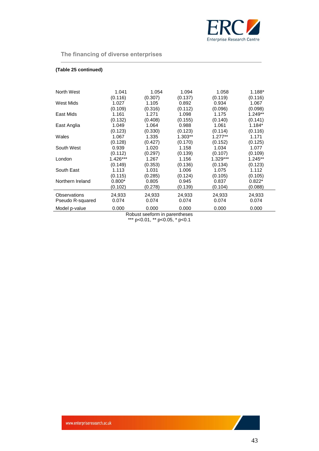

## **(Table 25 continued)**

| North West       | 1.041    | 1.054   | 1.094   | 1.058     | $1.188*$  |
|------------------|----------|---------|---------|-----------|-----------|
|                  | (0.116)  | (0.307) | (0.137) | (0.119)   | (0.116)   |
| West Mids        | 1.027    | 1.105   | 0.892   | 0.934     | 1.067     |
|                  |          |         |         |           |           |
|                  | (0.109)  | (0.316) | (0.112) | (0.096)   | (0.098)   |
| East Mids        | 1.161    | 1.271   | 1.098   | 1.175     | $1.249**$ |
|                  | (0.132)  | (0.408) | (0.155) | (0.140)   | (0.141)   |
| East Anglia      | 1.049    | 1.064   | 0.988   | 1.061     | $1.184*$  |
|                  | (0.123)  | (0.330) | (0.123) | (0.114)   | (0.116)   |
| Wales            | 1.067    | 1.335   | 1.303** | $1.277**$ | 1.171     |
|                  | (0.128)  | (0.427) | (0.170) | (0.152)   | (0.125)   |
| South West       | 0.939    | 1.020   | 1.158   | 1.034     | 1.077     |
|                  | (0.112)  | (0.297) | (0.139) | (0.107)   | (0.109)   |
| London           | 1.426*** | 1.267   | 1.156   | 1.329***  | $1.245**$ |
|                  | (0.149)  | (0.353) | (0.136) | (0.134)   | (0.123)   |
| South East       | 1.113    | 1.031   | 1.006   | 1.075     | 1.112     |
|                  | (0.115)  | (0.285) | (0.124) | (0.105)   | (0.105)   |
| Northern Ireland | $0.800*$ | 0.805   | 0.945   | 0.837     | $0.822*$  |
|                  | (0.102)  | (0.278) | (0.139) | (0.104)   | (0.088)   |
| Observations     | 24,933   | 24,933  | 24,933  | 24,933    | 24,933    |
| Pseudo R-squared | 0.074    | 0.074   | 0.074   | 0.074     | 0.074     |
|                  |          |         |         |           |           |
| Model p-value    | 0.000    | 0.000   | 0.000   | 0.000     | 0.000     |

Robust seeform in parentheses \*\*\* p<0.01, \*\* p<0.05, \* p<0.1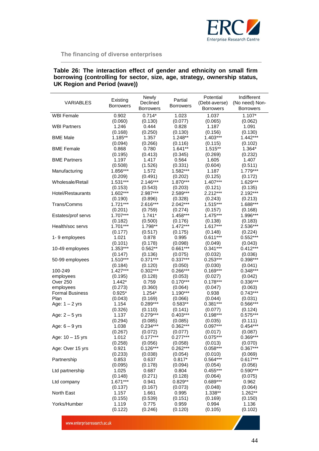

## **Table 26: The interaction effect of gender and ethnicity on small firm borrowing (controlling for sector, size, age, strategy, ownership status, UK Region and Period (wave))**

| <b>VARIABLES</b>       | Existing<br><b>Borrowers</b> | Newly<br>Declined<br><b>Borrowers</b> | Partial<br><b>Borrowers</b> | Potential<br>(Debt-averse)<br><b>Borrowers</b> | Indifferent<br>(No need) Non-<br><b>Borrowers</b> |
|------------------------|------------------------------|---------------------------------------|-----------------------------|------------------------------------------------|---------------------------------------------------|
| <b>WBI Female</b>      | 0.902                        | $0.714*$                              | 1.023                       | 1.037                                          | $1.107*$                                          |
|                        | (0.060)                      | (0.130)                               | (0.077)                     | (0.065)                                        | (0.062)                                           |
| <b>WBI Partners</b>    | 1.246                        | 0.444                                 | 0.828                       | 1.187                                          | 1.091                                             |
|                        | (0.168)                      | (0.250)                               | (0.130)                     | (0.156)                                        | (0.130)                                           |
| <b>BME Male</b>        | 1.185**                      | 1.357                                 | 1.248**                     | 1.403***                                       | $1.442***$                                        |
|                        | (0.094)                      | (0.266)                               | (0.116)                     | (0.115)                                        | (0.102)                                           |
| <b>BME Female</b>      | 0.868                        | 0.780                                 | $1.641**$                   | 1.515**                                        | 1.364*                                            |
|                        | (0.195)                      | (0.413)                               | (0.345)                     | (0.269)                                        | (0.232)                                           |
| <b>BME Partners</b>    | 1.197                        | 1.417                                 | 0.564                       | 1.605                                          | 1.407                                             |
|                        | (0.508)                      | (1.526)                               | (0.331)                     | (0.604)                                        | (0.511)                                           |
| Manufacturing          | 1.856***                     | 1.572                                 | 1.582***                    | 1.187                                          | 1.779***                                          |
|                        | (0.209)                      | (0.491)                               | (0.202)                     | (0.125)                                        | (0.172)                                           |
| Wholesale/Retail       | 1.531***                     | $2.146***$                            | 1.870***                    | $1.407***$                                     | 1.629***                                          |
|                        | (0.153)                      | (0.543)                               | (0.203)                     | (0.121)                                        | (0.135)                                           |
| Hotel/Restaurants      | 1.602***                     | 2.987***                              | 2.589***                    | 2.212***                                       | 2.192***                                          |
|                        | (0.190)<br>$1.721***$        | (0.896)                               | (0.328)<br>$2.042***$       | (0.243)                                        | (0.213)                                           |
| Trans/Comms            |                              | 2.616***                              |                             | 1.515***                                       | 1.688***                                          |
|                        | (0.201)<br>$1.707***$        | (0.759)<br>$1.741*$                   | (0.274)<br>1.458***         | (0.157)<br>1.475***                            | (0.168)<br>1.996***                               |
| Estates/prof servs     | (0.182)                      | (0.500)                               | (0.176)                     | (0.138)                                        | (0.183)                                           |
| Health/soc servs       | $1.701***$                   | 1.798**                               | $1.472***$                  | $1.617***$                                     | 2.536***                                          |
|                        | (0.177)                      | (0.517)                               | (0.175)                     | (0.148)                                        | (0.224)                                           |
| 1-9 employees          | 1.021                        | 0.878                                 | 0.995                       | $0.611***$                                     | $0.552***$                                        |
|                        | (0.101)                      | (0.178)                               | (0.098)                     | (0.049)                                        | (0.043)                                           |
| 10-49 employees        | 1.353***                     | $0.562**$                             | $0.661***$                  | $0.341***$                                     | $0.412***$                                        |
|                        | (0.147)                      | (0.136)                               | (0.075)                     | (0.032)                                        | (0.036)                                           |
| 50-99 employees        | 1.510***                     | $0.371***$                            | $0.337***$                  | $0.253***$                                     | $0.398***$                                        |
|                        | (0.184)                      | (0.120)                               | (0.050)                     | (0.030)                                        | (0.041)                                           |
| 100-249                | $1.427***$                   | $0.302***$                            | $0.266***$                  | $0.169***$                                     | $0.348***$                                        |
| employees              | (0.195)                      | (0.128)                               | (0.053)                     | (0.027)                                        | (0.042)                                           |
| Over 250               | $1.442*$                     | 0.759                                 | $0.170***$                  | $0.178***$                                     | 0.336***                                          |
| employees              | (0.273)                      | (0.360)                               | (0.064)                     | (0.047)                                        | (0.063)                                           |
| <b>Formal Business</b> | $0.925*$                     | $1.254*$                              | $1.190***$                  | 0.938                                          | $0.743***$                                        |
| Plan                   | (0.043)                      | (0.169)                               | (0.066)                     | (0.044)                                        | (0.031)                                           |
| Age: $1 - 2$ yrs       | 1.154                        | 0.289***                              | $0.583**$                   | $0.381***$                                     | 0.566***                                          |
|                        | (0.326)                      | (0.110)                               | (0.141)                     | (0.077)                                        | (0.124)                                           |
| Age: $2-5$ yrs         | 1.137                        | $0.279***$                            | $0.403***$                  | $0.198***$                                     | $0.575***$                                        |
|                        | (0.294)                      | (0.085)                               | (0.085)                     | (0.035)                                        | (0.111)                                           |
| Age: $6 - 9$ yrs       | 1.038                        | $0.234***$                            | $0.362***$                  | $0.097***$<br>(0.017)                          | $0.454***$                                        |
|                        | (0.267)                      | (0.072)<br>$0.177***$                 | (0.077)<br>$0.277***$       | $0.075***$                                     | (0.087)<br>$0.369***$                             |
| Age: $10 - 15$ yrs     | 1.012<br>(0.258)             | (0.056)                               | (0.058)                     | (0.013)                                        | (0.070)                                           |
| Age: Over 15 yrs       | 0.921                        | $0.126***$                            | $0.262***$                  | $0.058***$                                     | $0.367***$                                        |
|                        | (0.233)                      | (0.038)                               | (0.054)                     | (0.010)                                        | (0.069)                                           |
| Partnership            | 0.853                        | 0.637                                 | $0.817*$                    | $0.564***$                                     | $0.617***$                                        |
|                        | (0.095)                      | (0.178)                               | (0.094)                     | (0.054)                                        | (0.056)                                           |
| Ltd partnership        | 1.025                        | 0.687                                 | 0.804                       | $0.455***$                                     | $0.590***$                                        |
|                        | (0.148)                      | (0.271)                               | (0.128)                     | (0.064)                                        | (0.075)                                           |
| Ltd company            | $1.671***$                   | 0.941                                 | $0.829**$                   | 0.689***                                       | 0.962                                             |
|                        | (0.137)                      | (0.167)                               | (0.073)                     | (0.048)                                        | (0.064)                                           |
| North East             | 1.157                        | 1.661                                 | 0.995                       | 1.338**                                        | 1.262**                                           |
|                        | (0.155)                      | (0.539)                               | (0.151)                     | (0.169)                                        | (0.150)                                           |
| Yorks/Humber           | 1.119                        | 0.775                                 | 0.959                       | 0.994                                          | 1.136                                             |
|                        | (0.122)                      | (0.246)                               | (0.120)                     | (0.105)                                        | (0.102)                                           |

www.enterpriseresearch.ac.uk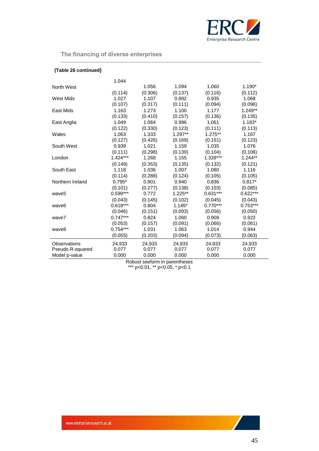

| (Table 26 continued) |            |         |          |            |            |
|----------------------|------------|---------|----------|------------|------------|
|                      | 1.044      |         |          |            |            |
| North West           |            | 1.056   | 1.094    | 1.060      | 1.190*     |
|                      | (0.114)    | (0.306) | (0.137)  | (0.116)    | (0.112)    |
| <b>West Mids</b>     | 1.027      | 1.107   | 0.892    | 0.935      | 1.068      |
|                      | (0.107)    | (0.317) | (0.111)  | (0.094)    | (0.096)    |
| East Mids            | 1.163      | 1.273   | 1.100    | 1.177      | $1.249**$  |
|                      | (0.133)    | (0.410) | (0.157)  | (0.136)    | (0.135)    |
| East Anglia          | 1.049      | 1.064   | 0.986    | 1.061      | $1.183*$   |
|                      | (0.122)    | (0.330) | (0.123)  | (0.111)    | (0.113)    |
| Wales                | 1.063      | 1.333   | 1.297**  | 1.275**    | 1.167      |
|                      | (0.127)    | (0.426) | (0.169)  | (0.151)    | (0.123)    |
| South West           | 0.939      | 1.021   | 1.159    | 1.035      | 1.076      |
|                      | (0.111)    | (0.298) | (0.139)  | (0.104)    | (0.106)    |
| London               | $1.424***$ | 1.268   | 1.155    | 1.328***   | $1.244**$  |
|                      | (0.149)    | (0.353) | (0.135)  | (0.132)    | (0.121)    |
| South East           | 1.118      | 1.036   | 1.007    | 1.080      | 1.116      |
|                      | (0.114)    | (0.288) | (0.124)  | (0.105)    | (0.105)    |
| Northern Ireland     | $0.795*$   | 0.801   | 0.940    | 0.836      | $0.817*$   |
|                      | (0.101)    | (0.277) | (0.138)  | (0.103)    | (0.085)    |
| wave <sub>5</sub>    | $0.599***$ | 0.772   | 1.225**  | $0.631***$ | $0.622***$ |
|                      | (0.043)    | (0.145) | (0.102)  | (0.045)    | (0.043)    |
| wave <sub>6</sub>    | $0.618***$ | 0.804   | $1.145*$ | $0.770***$ | $0.753***$ |
|                      | (0.046)    | (0.151) | (0.093)  | (0.056)    | (0.050)    |
| wave7                | $0.747***$ | 0.824   | 1.060    | 0.909      | 0.922      |
|                      | (0.053)    | (0.157) | (0.091)  | (0.066)    | (0.061)    |
| wave8                | $0.754***$ | 1.031   | 1.063    | 1.014      | 0.944      |
|                      | (0.055)    | (0.203) | (0.094)  | (0.073)    | (0.063)    |
| Observations         | 24,933     | 24,933  | 24,933   | 24,933     | 24,933     |
| Pseudo R-squared     | 0.077      | 0.077   | 0.077    | 0.077      | 0.077      |
| Model p-value        | 0.000      | 0.000   | 0.000    | 0.000      | 0.000      |

Robust seeform in parentheses \*\*\* p<0.01, \*\* p<0.05, \* p<0.1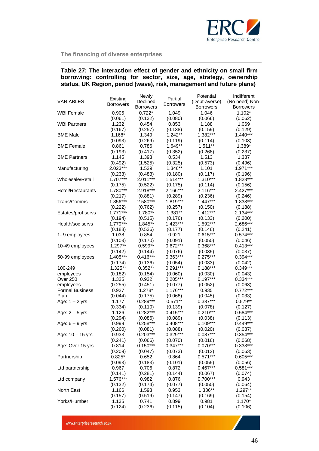

## **Table 27: The interaction effect of gender and ethnicity on small firm borrowing: controlling for sector, size, age, strategy, ownership status, UK Region, period (wave), risk, management and future plans)**

|                        | Existing         | Newly            | Partial          | Potential        | Indifferent      |
|------------------------|------------------|------------------|------------------|------------------|------------------|
| <b>VARIABLES</b>       | <b>Borrowers</b> | Declined         | <b>Borrowers</b> | (Debt-averse)    | (No need) Non-   |
|                        |                  | <b>Borrowers</b> |                  | <b>Borrowers</b> | <b>Borrowers</b> |
| <b>WBI Female</b>      | 0.905            | $0.722*$         | 1.049            | 1.046            | $1.102*$         |
|                        | (0.061)          | (0.132)          | (0.080)          | (0.066)          | (0.062)          |
| <b>WBI Partners</b>    | 1.232            | 0.454            | 0.853            | 1.188            | 1.069            |
|                        | (0.167)          | (0.257)          | (0.138)          | (0.159)          | (0.129)          |
| <b>BME Male</b>        | $1.168*$         | 1.349            | 1.242**          | 1.382***         | $1.440***$       |
|                        | (0.093)          | (0.269)          | (0.119)          | (0.114)          | (0.103)          |
| <b>BME Female</b>      | 0.861            | 0.786            | 1.649**          | $1.511**$        | 1.389*           |
|                        | (0.193)          | (0.417)          | (0.352)          | (0.268)          | (0.237)          |
| <b>BME Partners</b>    | 1.145            | 1.393            | 0.534            | 1.513            | 1.387            |
|                        | (0.492)          | (1.525)          | (0.325)          | (0.573)          | (0.496)          |
| Manufacturing          | 2.023***         | 1.529            | 1.346**          | 1.101            | 1.971***         |
|                        | (0.233)          | (0.483)          | (0.180)          | (0.117)          | (0.196)          |
| Wholesale/Retail       | $1.707***$       | $2.011***$       | $1.514***$       | $1.310***$       | 1.828***         |
|                        | (0.175)          | (0.522)          | (0.175)          | (0.114)          | (0.156)          |
| Hotel/Restaurants      | 1.780***         | 2.918***         | 2.166***         | 2.116***         | $2.427***$       |
|                        | (0.217)          | (0.881)          | (0.289)          | (0.236)          | (0.246)          |
| Trans/Comms            | 1.856***         | 2.580***         | 1.819***         | $1.447***$       | 1.833***         |
|                        | (0.222)          | (0.762)          | (0.257)          | (0.150)          | (0.188)          |
| Estates/prof servs     | $1.771***$       | 1.780**          | 1.381**          | $1.412***$       | $2.134***$       |
|                        | (0.194)          | (0.515)          | (0.176)          | (0.133)          | (0.200)          |
| Health/soc servs       | $1.779***$       | 1.845**          | $1.423***$       | 1.592***         | 2.686***         |
|                        | (0.188)          | (0.536)          | (0.177)          | (0.146)          | (0.241)          |
| 1-9 employees          | 1.038            | 0.854            | 0.921            | $0.615***$       | $0.574***$       |
|                        | (0.103)          | (0.170)          | (0.091)          | (0.050)          | (0.046)          |
| 10-49 employees        | 1.297**          | $0.599**$        | $0.672***$       | $0.368***$       | $0.413***$       |
|                        | (0.142)          | (0.144)          | (0.076)          | (0.035)          | (0.037)          |
| 50-99 employees        | $1.405***$       | $0.416***$       | $0.363***$       | $0.275***$       | $0.394***$       |
|                        | (0.174)          | (0.136)          | (0.054)          | (0.033)          | (0.042)          |
| 100-249                | 1.325**          | $0.352**$        | $0.291***$       | $0.188***$       | $0.349***$       |
| employees              | (0.182)          | (0.154)          | (0.060)          | (0.030)          | (0.043)          |
| Over 250               | 1.325            | 0.932            | 0.205***         | $0.197***$       | $0.334***$       |
| employees              | (0.255)          | (0.451)          | (0.077)          | (0.052)          | (0.063)          |
| <b>Formal Business</b> | 0.927            | $1.278*$         | 1.176***         | 0.935            | $0.772***$       |
| Plan                   | (0.044)          | (0.175)          | (0.068)          | (0.045)          | (0.033)          |
| Age: $1 - 2$ yrs       | 1.177            | $0.289***$       | $0.571**$        | $0.387***$       | $0.579**$        |
|                        | (0.334)          | (0.110)          | (0.139)          | (0.078)          | (0.127)          |
| Age: $2 - 5$ yrs       | 1.126            | $0.282***$       | $0.415***$       | $0.210***$       | 0.584***         |
|                        | (0.294)          | (0.086)          | (0.089)          | (0.038)          | (0.113)          |
| Age: $6 - 9$ yrs       | 0.999            | $0.258***$       | $0.408***$       | $0.109***$       | $0.449***$       |
|                        | (0.260)          | (0.081)          | (0.088)          | (0.020)          | (0.087)          |
| Age: 10 - 15 yrs       | 0.933            | $0.203***$       | $0.329***$       | $0.087***$       | $0.354***$       |
|                        | (0.241)          | (0.066)          | (0.070)          | (0.016)          | (0.068)          |
| Age: Over 15 yrs       | 0.814            | $0.150***$       | $0.347***$       | $0.070***$       | $0.333***$       |
|                        | (0.209)          | (0.047)          | (0.073)          | (0.012)          | (0.063)          |
| Partnership            | $0.825*$         | 0.652            | 0.864            | $0.571***$       | $0.605***$       |
|                        | (0.093)          | (0.183)          | (0.101)          | (0.055)          | (0.056)          |
| Ltd partnership        | 0.967            | 0.706            | 0.872            | $0.467***$       | $0.581***$       |
|                        | (0.141)          | (0.281)          | (0.144)          | (0.067)          | (0.074)          |
| Ltd company            | 1.576***         | 0.982            | 0.876            | $0.700***$       | 0.943            |
|                        | (0.132)          | (0.174)          | (0.077)          | (0.050)          | (0.064)          |
| <b>North East</b>      | 1.166            | 1.593            | 0.953            | 1.336**          | 1.297**          |
|                        | (0.157)          | (0.519)          | (0.147)          | (0.169)          | (0.154)          |
| Yorks/Humber           | 1.135            | 0.741            | 0.899            | 0.981            | $1.170*$         |
|                        | (0.124)          | (0.236)          | (0.115)          | (0.104)          | (0.106)          |

www.enterpriseresearch.ac.uk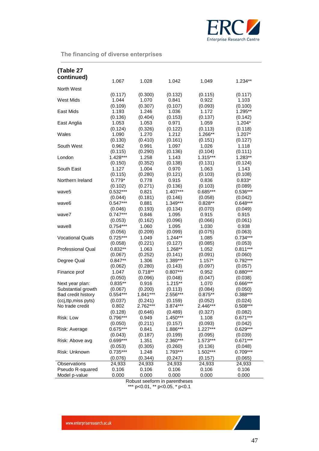

| (Table 27                |            |                  |                  |                       |                     |
|--------------------------|------------|------------------|------------------|-----------------------|---------------------|
| continued)               | 1.067      | 1.028            | 1.042            | 1.049                 | $1.234**$           |
|                          |            |                  |                  |                       |                     |
| North West               |            |                  |                  |                       |                     |
|                          | (0.117)    | (0.300)<br>1.070 | (0.132)          | (0.115)               | (0.117)             |
| <b>West Mids</b>         | 1.044      |                  | 0.841            | 0.922                 | 1.103               |
|                          | (0.109)    | (0.307)<br>1.246 | (0.107)          | (0.093)<br>1.172      | (0.100)             |
| East Mids                | 1.193      |                  | 1.036            |                       | 1.295**             |
|                          | (0.136)    | (0.404)          | (0.153)          | (0.137)               | (0.142)<br>$1.204*$ |
| East Anglia              | 1.053      | 1.053            | 0.971            | 1.059                 |                     |
| Wales                    | (0.124)    | (0.326)<br>1.270 | (0.122)<br>1.212 | (0.113)<br>1.266**    | (0.118)<br>$1.207*$ |
|                          | 1.090      |                  |                  |                       |                     |
|                          | (0.130)    | (0.410)          | (0.161)          | (0.151)               | (0.127)             |
| South West               | 0.962      | 0.991            | 1.097            | 1.026                 | 1.118               |
|                          | (0.115)    | (0.290)          | (0.136)          | (0.104)<br>$1.315***$ | (0.111)             |
| London                   | $1.428***$ | 1.258            | 1.143            |                       | 1.283**             |
|                          | (0.150)    | (0.352)          | (0.138)          | (0.131)               | (0.124)             |
| South East               | 1.127      | 1.004            | 0.970            | 1.063                 | 1.143               |
|                          | (0.115)    | (0.280)          | (0.121)          | (0.103)               | (0.108)             |
| Northern Ireland         | $0.779*$   | 0.778            | 0.915            | 0.836                 | $0.833*$            |
|                          | (0.102)    | (0.271)          | (0.136)          | (0.103)               | (0.089)             |
| wave5                    | $0.532***$ | 0.821            | $1.407***$       | 0.685***              | $0.536***$          |
|                          | (0.044)    | (0.181)          | (0.146)          | (0.058)               | (0.042)             |
| wave6                    | $0.547***$ | 0.881            | 1.349***         | $0.828**$             | $0.648***$          |
|                          | (0.046)    | (0.193)          | (0.134)          | (0.070)               | (0.049)             |
| wave7                    | $0.747***$ | 0.846            | 1.095            | 0.915                 | 0.915               |
|                          | (0.053)    | (0.162)          | (0.096)          | (0.066)               | (0.061)             |
| wave8                    | $0.754***$ | 1.060            | 1.095            | 1.030                 | 0.938               |
|                          | (0.056)    | (0.209)          | (0.099)          | (0.075)               | (0.063)             |
| <b>Vocational Quals</b>  | $0.725***$ | 1.049            | 1.244**          | 1.085                 | $0.734***$          |
|                          | (0.058)    | (0.221)          | (0.127)          | (0.085)               | (0.053)             |
| <b>Professional Qual</b> | $0.832**$  | 1.063            | 1.268**          | 1.052                 | $0.811***$          |
|                          | (0.067)    | (0.252)          | (0.141)          | (0.091)               | (0.060)             |
| Degree Qual              | $0.847**$  | 1.306            | 1.389***         | $1.157*$              | $0.792***$          |
|                          | (0.062)    | (0.280)          | (0.143)          | (0.097)               | (0.057)             |
| Finance prof             | 1.047      | $0.718**$        | $0.807***$       | 0.952                 | $0.880***$          |
|                          | (0.050)    | (0.096)          | (0.048)          | (0.047)               | (0.038)             |
| Next year plan:          | $0.835**$  | 0.916            | $1.215**$        | 1.070                 | 0.666***            |
| Substantial growth       | (0.067)    | (0.200)          | (0.113)          | (0.084)               | (0.050)             |
| Bad credit history       | $0.554***$ | $1.841***$       | 2.556***         | $0.875**$             | 0.388***            |
| (ccj,ttp,miss pyts)      | (0.037)    | (0.241)          | (0.159)          | (0.052)               | (0.024)             |
| No trade credit          | 0.802      | 2.762***         | 3.874***         | 2.446***              | $0.508***$          |
|                          | (0.128)    | (0.646)          | (0.489)          | (0.327)               | (0.082)             |
| Risk: Low                | 0.796***   | 0.949            | 1.450***         | 1.108                 | $0.671***$          |
|                          | (0.050)    | (0.211)          | (0.157)          | (0.093)               | (0.042)             |
| Risk: Average            | $0.675***$ | 0.841            | 1.886***         | $1.227***$            | $0.629***$          |
|                          | (0.043)    | (0.187)          | (0.199)          | (0.095)               | (0.039)             |
| Risk: Above avg          | $0.699***$ | 1.351            | 2.360***         | $1.573***$            | $0.671***$          |
|                          | (0.053)    | (0.305)          | (0.260)          | (0.136)               | (0.048)             |
| Risk: Unknown            | $0.735***$ | 1.248            | 1.793***         | 1.502***              | $0.709***$          |
|                          | (0.076)    | (0.344)          | (0.247)          | (0.157)               | (0.065)             |
| Observations             | 24,933     | 24,933           | 24,933           | 24,933                | 24,933              |
| Pseudo R-squared         | 0.106      | 0.106            | 0.106            | 0.106                 | 0.106               |
| Model p-value            | 0.000      | 0.000            | 0.000            | 0.000                 | 0.000               |

Robust seeform in parentheses \*\*\* p<0.01, \*\* p<0.05, \* p<0.1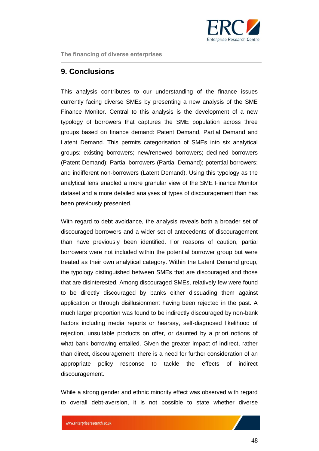

## <span id="page-47-0"></span>**9. Conclusions**

This analysis contributes to our understanding of the finance issues currently facing diverse SMEs by presenting a new analysis of the SME Finance Monitor. Central to this analysis is the development of a new typology of borrowers that captures the SME population across three groups based on finance demand: Patent Demand, Partial Demand and Latent Demand. This permits categorisation of SMEs into six analytical groups: existing borrowers; new/renewed borrowers; declined borrowers (Patent Demand); Partial borrowers (Partial Demand); potential borrowers; and indifferent non-borrowers (Latent Demand). Using this typology as the analytical lens enabled a more granular view of the SME Finance Monitor dataset and a more detailed analyses of types of discouragement than has been previously presented.

With regard to debt avoidance, the analysis reveals both a broader set of discouraged borrowers and a wider set of antecedents of discouragement than have previously been identified. For reasons of caution, partial borrowers were not included within the potential borrower group but were treated as their own analytical category. Within the Latent Demand group, the typology distinguished between SMEs that are discouraged and those that are disinterested. Among discouraged SMEs, relatively few were found to be directly discouraged by banks either dissuading them against application or through disillusionment having been rejected in the past. A much larger proportion was found to be indirectly discouraged by non-bank factors including media reports or hearsay, self-diagnosed likelihood of rejection, unsuitable products on offer, or daunted by a priori notions of what bank borrowing entailed. Given the greater impact of indirect, rather than direct, discouragement, there is a need for further consideration of an appropriate policy response to tackle the effects of indirect discouragement.

While a strong gender and ethnic minority effect was observed with regard to overall debt-aversion, it is not possible to state whether diverse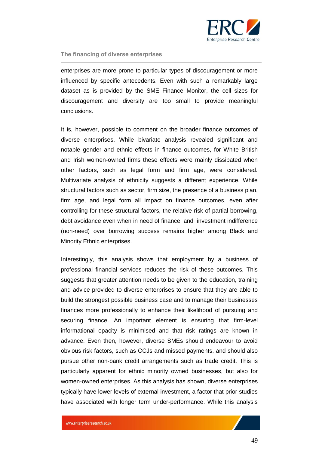

enterprises are more prone to particular types of discouragement or more influenced by specific antecedents. Even with such a remarkably large dataset as is provided by the SME Finance Monitor, the cell sizes for discouragement and diversity are too small to provide meaningful conclusions.

It is, however, possible to comment on the broader finance outcomes of diverse enterprises. While bivariate analysis revealed significant and notable gender and ethnic effects in finance outcomes, for White British and Irish women-owned firms these effects were mainly dissipated when other factors, such as legal form and firm age, were considered. Multivariate analysis of ethnicity suggests a different experience. While structural factors such as sector, firm size, the presence of a business plan, firm age, and legal form all impact on finance outcomes, even after controlling for these structural factors, the relative risk of partial borrowing, debt avoidance even when in need of finance, and investment indifference (non-need) over borrowing success remains higher among Black and Minority Ethnic enterprises.

Interestingly, this analysis shows that employment by a business of professional financial services reduces the risk of these outcomes. This suggests that greater attention needs to be given to the education, training and advice provided to diverse enterprises to ensure that they are able to build the strongest possible business case and to manage their businesses finances more professionally to enhance their likelihood of pursuing and securing finance. An important element is ensuring that firm-level informational opacity is minimised and that risk ratings are known in advance. Even then, however, diverse SMEs should endeavour to avoid obvious risk factors, such as CCJs and missed payments, and should also pursue other non-bank credit arrangements such as trade credit. This is particularly apparent for ethnic minority owned businesses, but also for women-owned enterprises. As this analysis has shown, diverse enterprises typically have lower levels of external investment, a factor that prior studies have associated with longer term under-performance. While this analysis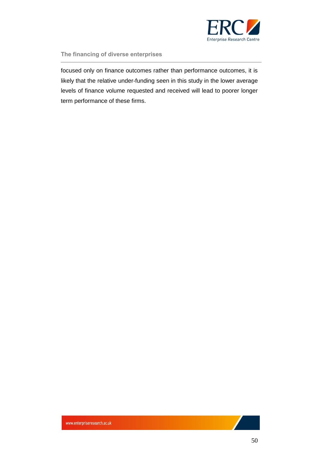

focused only on finance outcomes rather than performance outcomes, it is likely that the relative under-funding seen in this study in the lower average levels of finance volume requested and received will lead to poorer longer term performance of these firms.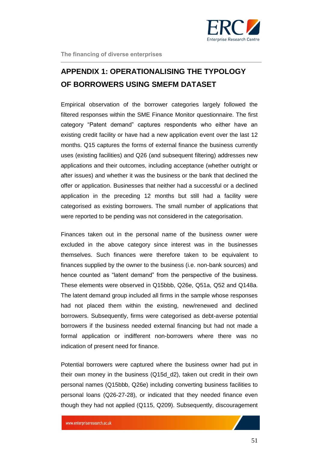

## <span id="page-50-0"></span>**APPENDIX 1: OPERATIONALISING THE TYPOLOGY OF BORROWERS USING SMEFM DATASET**

Empirical observation of the borrower categories largely followed the filtered responses within the SME Finance Monitor questionnaire. The first category "Patent demand" captures respondents who either have an existing credit facility or have had a new application event over the last 12 months. Q15 captures the forms of external finance the business currently uses (existing facilities) and Q26 (and subsequent filtering) addresses new applications and their outcomes, including acceptance (whether outright or after issues) and whether it was the business or the bank that declined the offer or application. Businesses that neither had a successful or a declined application in the preceding 12 months but still had a facility were categorised as existing borrowers. The small number of applications that were reported to be pending was not considered in the categorisation.

Finances taken out in the personal name of the business owner were excluded in the above category since interest was in the businesses themselves. Such finances were therefore taken to be equivalent to finances supplied by the owner to the business (i.e. non-bank sources) and hence counted as "latent demand" from the perspective of the business. These elements were observed in Q15bbb, Q26e, Q51a, Q52 and Q148a. The latent demand group included all firms in the sample whose responses had not placed them within the existing, new/renewed and declined borrowers. Subsequently, firms were categorised as debt-averse potential borrowers if the business needed external financing but had not made a formal application or indifferent non-borrowers where there was no indication of present need for finance.

Potential borrowers were captured where the business owner had put in their own money in the business (Q15d\_d2), taken out credit in their own personal names (Q15bbb, Q26e) including converting business facilities to personal loans (Q26-27-28), or indicated that they needed finance even though they had not applied (Q115, Q209). Subsequently, discouragement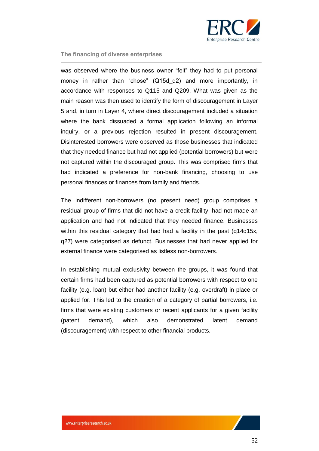

was observed where the business owner "felt" they had to put personal money in rather than "chose" (Q15d\_d2) and more importantly, in accordance with responses to Q115 and Q209. What was given as the main reason was then used to identify the form of discouragement in Layer 5 and, in turn in Layer 4, where direct discouragement included a situation where the bank dissuaded a formal application following an informal inquiry, or a previous rejection resulted in present discouragement. Disinterested borrowers were observed as those businesses that indicated that they needed finance but had not applied (potential borrowers) but were not captured within the discouraged group. This was comprised firms that had indicated a preference for non-bank financing, choosing to use personal finances or finances from family and friends.

The indifferent non-borrowers (no present need) group comprises a residual group of firms that did not have a credit facility, had not made an application and had not indicated that they needed finance. Businesses within this residual category that had had a facility in the past (q14q15x, q27) were categorised as defunct. Businesses that had never applied for external finance were categorised as listless non-borrowers.

In establishing mutual exclusivity between the groups, it was found that certain firms had been captured as potential borrowers with respect to one facility (e.g. loan) but either had another facility (e.g. overdraft) in place or applied for. This led to the creation of a category of partial borrowers, i.e. firms that were existing customers or recent applicants for a given facility (patent demand), which also demonstrated latent demand (discouragement) with respect to other financial products.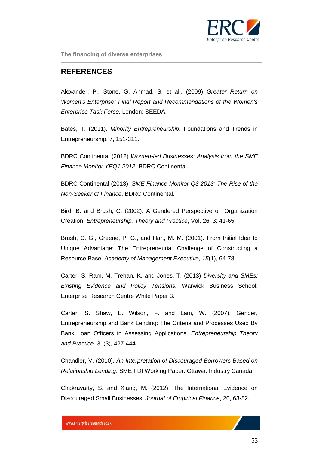

## <span id="page-52-0"></span>**REFERENCES**

Alexander, P., Stone, G. Ahmad, S. et al., (2009) *Greater Return on Women's Enterprise: Final Report and Recommendations of the Women's Enterprise Task Force*. London: SEEDA.

Bates, T. (2011). *Minority Entrepreneurship*. Foundations and Trends in Entrepreneurship, 7, 151-311.

BDRC Continental (2012) *Women-led Businesses: Analysis from the SME Finance Monitor YEQ1 2012*. BDRC Continental.

BDRC Continental (2013). *SME Finance Monitor Q3 2013: The Rise of the Non-Seeker of Finance*. BDRC Continental.

Bird, B. and Brush, C. (2002). A Gendered Perspective on Organization Creation. *Entrepreneurship, Theory and Practice*, Vol. 26, 3: 41-65.

Brush, C. G., Greene, P. G., and Hart, M. M. (2001). From Initial Idea to Unique Advantage: The Entrepreneurial Challenge of Constructing a Resource Base. *Academy of Management Executive, 15*(1), 64-78.

Carter, S. Ram, M. Trehan, K. and Jones, T. (2013) *Diversity and SMEs: Existing Evidence and Policy Tensions.* Warwick Business School: Enterprise Research Centre White Paper 3.

Carter, S. Shaw, E. Wilson, F. and Lam, W. (2007). Gender, Entrepreneurship and Bank Lending: The Criteria and Processes Used By Bank Loan Officers in Assessing Applications. *Entrepreneurship Theory and Practice*. 31(3), 427-444.

Chandler, V. (2010). *An Interpretation of Discouraged Borrowers Based on Relationship Lending*. SME FDI Working Paper. Ottawa: Industry Canada.

Chakravarty, S. and Xiang, M. (2012). The International Evidence on Discouraged Small Businesses. *Journal of Empirical Finance*, 20, 63-82.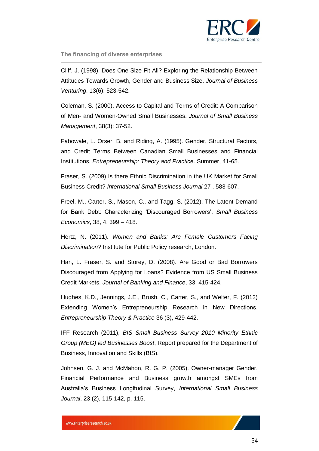

Cliff, J. (1998). Does One Size Fit All? Exploring the Relationship Between Attitudes Towards Growth, Gender and Business Size. *Journal of Business Venturing*. 13(6): 523-542.

Coleman, S. (2000). Access to Capital and Terms of Credit: A Comparison of Men- and Women-Owned Small Businesses. *Journal of Small Business Management*, 38(3): 37-52.

Fabowale, L. Orser, B. and Riding, A. (1995). Gender, Structural Factors, and Credit Terms Between Canadian Small Businesses and Financial Institutions*. Entrepreneurship: Theory and Practice*. Summer, 41-65.

Fraser, S. (2009) Is there Ethnic Discrimination in the UK Market for Small Business Credit? *International Small Business Journal* 27 , 583-607.

Freel, M., Carter, S., Mason, C., and Tagg, S. (2012). The Latent Demand for Bank Debt: Characterizing 'Discouraged Borrowers'. *Small Business Economics*, 38, 4, 399 – 418.

Hertz, N. (2011). *Women and Banks: Are Female Customers Facing Discrimination?* Institute for Public Policy research, London.

Han, L. Fraser, S. and Storey, D. (2008). Are Good or Bad Borrowers Discouraged from Applying for Loans? Evidence from US Small Business Credit Markets. *Journal of Banking and Finance*, 33, 415-424.

Hughes, K.D., Jennings, J.E., Brush, C., Carter, S., and Welter, F. (2012) Extending Women's Entrepreneurship Research in New Directions. *Entrepreneurship Theory & Practice* 36 (3), 429-442.

IFF Research (2011), *BIS Small Business Survey 2010 Minority Ethnic Group (MEG) led Businesses Boost*, Report prepared for the Department of Business, Innovation and Skills (BIS).

Johnsen, G. J. and McMahon, R. G. P. (2005). Owner-manager Gender, Financial Performance and Business growth amongst SMEs from Australia's Business Longitudinal Survey, *International Small Business Journal*, 23 (2), 115-142, p. 115.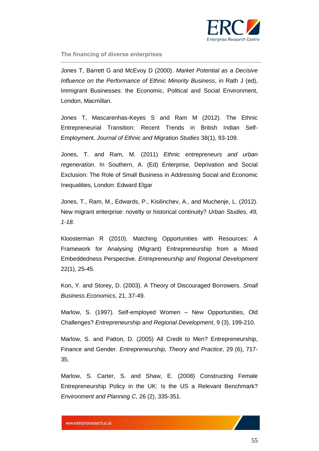

Jones T, Barrett G and McEvoy D (2000). *Market Potential as a Decisive Influence on the Performance of Ethnic Minority Business*, in Rath J (ed), Immigrant Businesses: the Economic, Political and Social Environment, London, Macmillan.

Jones T, Mascarenhas-Keyes S and Ram M (2012). The Ethnic Entrepreneurial Transition: Recent Trends in British Indian Self-Employment. *Journal of Ethnic and Migration Studies* 38(1), 93-109.

Jones, T. and Ram, M. (2011) *Ethnic entrepreneurs and urban regeneration*. In Southern, A. (Ed) Enterprise, Deprivation and Social Exclusion: The Role of Small Business in Addressing Social and Economic Inequalities, London: Edward Elgar

Jones, T., Ram, M., Edwards, P., Kisilinchev, A., and Muchenje, L. (2012). New migrant enterprise: novelty or historical continuity? *Urban Studies, 49, 1-18.*

Kloosterman R (2010). Matching Opportunities with Resources: A Framework for Analysing (Migrant) Entrepreneurship from a Mixed Embeddedness Perspective. *Entrepreneurship and Regional Development* 22(1), 25-45.

Kon, Y. and Storey, D. (2003). A Theory of Discouraged Borrowers. *Small Business Economics*, 21, 37-49.

Marlow, S. (1997). Self-employed Women – New Opportunities, Old Challenges? *Entrepreneurship and Regional Development*, 9 (3), 199-210.

Marlow, S. and Patton, D. (2005) All Credit to Men? Entrepreneurship, Finance and Gender. *Entrepreneurship, Theory and Practice*, 29 (6), 717- 35.

Marlow, S. Carter, S. and Shaw, E. (2008) Constructing Female Entrepreneurship Policy in the UK: Is the US a Relevant Benchmark? *Environment and Planning C*, 26 (2), 335-351.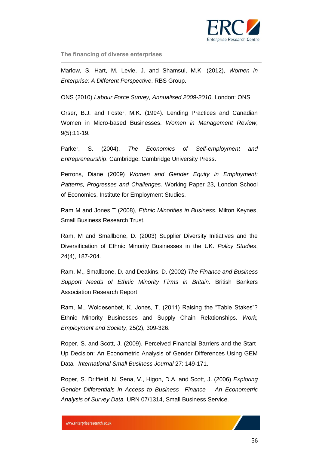

Marlow, S. Hart, M. Levie, J. and Shamsul, M.K. (2012), *Women in Enterprise: A Different Perspective*. RBS Group.

ONS (2010) *Labour Force Survey, Annualised 2009-2010*. London: ONS.

Orser, B.J. and Foster, M.K. (1994). Lending Practices and Canadian Women in Micro-based Businesses. *Women in Management Review*, 9(5):11-19.

Parker, S. (2004). *The Economics of Self-employment and Entrepreneurship*. Cambridge: Cambridge University Press.

Perrons, Diane (2009) *Women and Gender Equity in Employment: Patterns, Progresses and Challenges*. Working Paper 23, London School of Economics, Institute for Employment Studies.

Ram M and Jones T (2008), *Ethnic Minorities in Business.* Milton Keynes, Small Business Research Trust.

Ram, M and Smallbone, D. (2003) Supplier Diversity Initiatives and the Diversification of Ethnic Minority Businesses in the UK. *Policy Studies*, 24(4), 187-204.

Ram, M., Smallbone, D. and Deakins, D. (2002) *The Finance and Business Support Needs of Ethnic Minority Firms in Britain.* British Bankers Association Research Report.

Ram, M., Woldesenbet, K. Jones, T. (2011) Raising the "Table Stakes"? Ethnic Minority Businesses and Supply Chain Relationships. *Work, Employment and Society*, 25(2), 309-326.

Roper, S. and Scott, J. (2009). Perceived Financial Barriers and the Start-Up Decision: An Econometric Analysis of Gender Differences Using GEM Data*. International Small Business Journal* 27: 149-171.

Roper, S. Driffield, N. Sena, V., Higon, D.A. and Scott, J. (2006) *Exploring Gender Differentials in Access to Business Finance – An Econometric Analysis of Survey Data.* URN 07/1314, Small Business Service.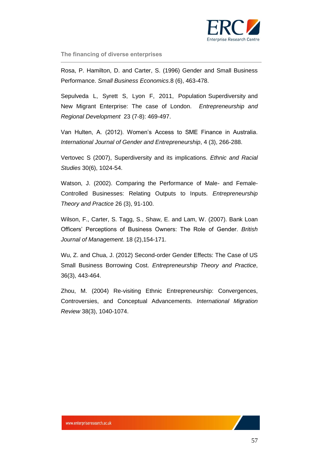

Rosa, P. Hamilton, D. and Carter, S. (1996) Gender and Small Business Performance. *Small Business Economics*.8 (6), 463-478.

Sepulveda L, Syrett S, Lyon F, 2011, Population Superdiversity and New Migrant Enterprise: The case of London. *Entrepreneurship and Regional Development* 23 (7-8): 469-497.

Van Hulten, A. (2012). Women's Access to SME Finance in Australia. *International Journal of Gender and Entrepreneurship*, 4 (3), 266-288.

Vertovec S (2007), Superdiversity and its implications. *Ethnic and Racial Studies* 30(6), 1024-54.

Watson, J. (2002). Comparing the Performance of Male- and Female-Controlled Businesses: Relating Outputs to Inputs. *Entrepreneurship Theory and Practice* 26 (3), 91-100.

Wilson, F., Carter, S. Tagg, S., Shaw, E. and Lam, W. (2007). Bank Loan Officers' Perceptions of Business Owners: The Role of Gender. *British Journal of Management*. 18 (2),154-171.

Wu, Z. and Chua, J. (2012) Second-order Gender Effects: The Case of US Small Business Borrowing Cost. *Entrepreneurship Theory and Practice*, 36(3), 443-464.

Zhou, M. (2004) Re-visiting Ethnic Entrepreneurship: Convergences, Controversies, and Conceptual Advancements. *International Migration Review* 38(3), 1040-1074.